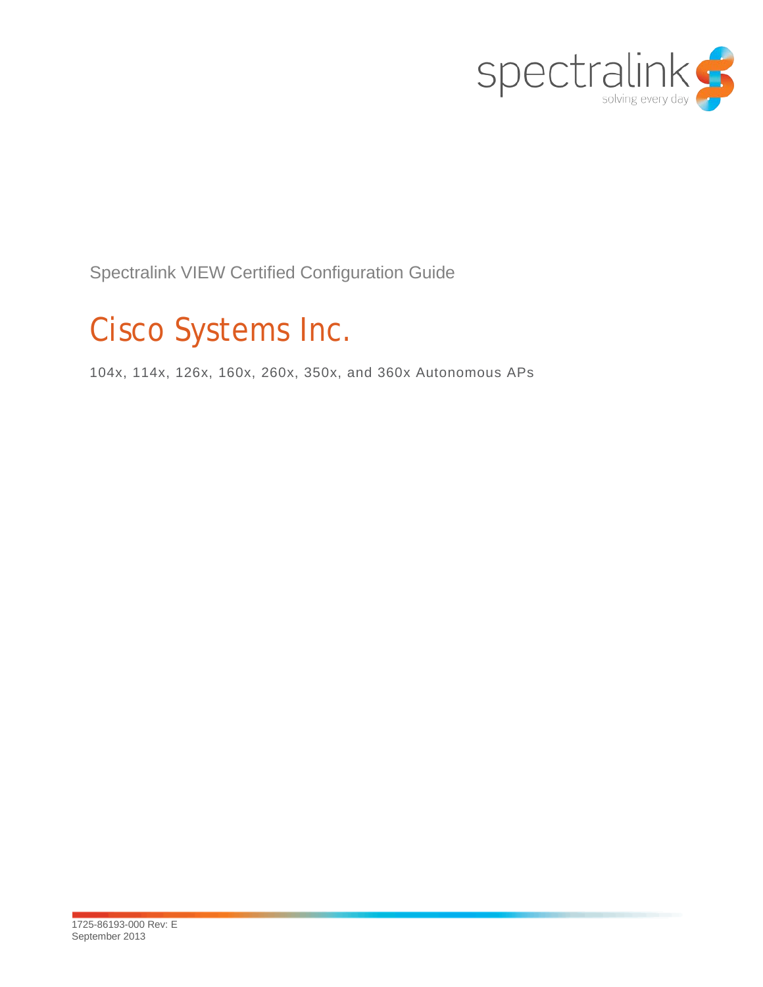

Spectralink VIEW Certified Configuration Guide

# Cisco Systems Inc.

104x, 114x, 126x, 160x, 260x, 350x, and 360x Autonomous APs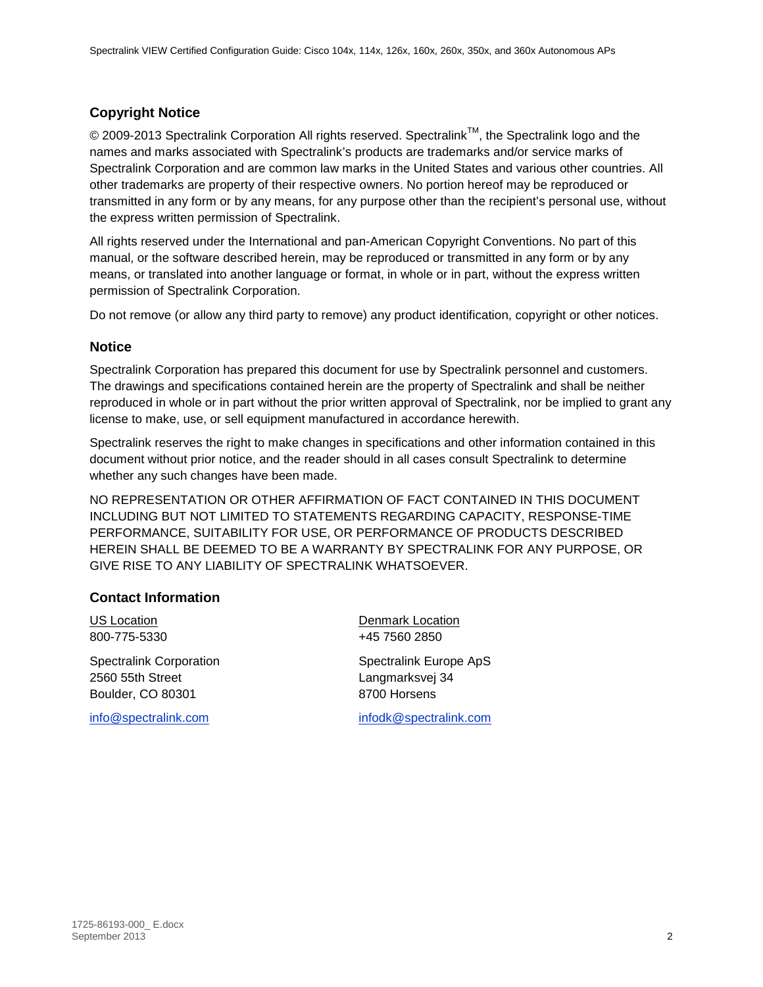#### **Copyright Notice**

 $\odot$  2009-2013 Spectralink Corporation All rights reserved. Spectralink<sup>TM</sup>, the Spectralink logo and the names and marks associated with Spectralink's products are trademarks and/or service marks of Spectralink Corporation and are common law marks in the United States and various other countries. All other trademarks are property of their respective owners. No portion hereof may be reproduced or transmitted in any form or by any means, for any purpose other than the recipient's personal use, without the express written permission of Spectralink.

All rights reserved under the International and pan-American Copyright Conventions. No part of this manual, or the software described herein, may be reproduced or transmitted in any form or by any means, or translated into another language or format, in whole or in part, without the express written permission of Spectralink Corporation.

Do not remove (or allow any third party to remove) any product identification, copyright or other notices.

#### **Notice**

Spectralink Corporation has prepared this document for use by Spectralink personnel and customers. The drawings and specifications contained herein are the property of Spectralink and shall be neither reproduced in whole or in part without the prior written approval of Spectralink, nor be implied to grant any license to make, use, or sell equipment manufactured in accordance herewith.

Spectralink reserves the right to make changes in specifications and other information contained in this document without prior notice, and the reader should in all cases consult Spectralink to determine whether any such changes have been made.

NO REPRESENTATION OR OTHER AFFIRMATION OF FACT CONTAINED IN THIS DOCUMENT INCLUDING BUT NOT LIMITED TO STATEMENTS REGARDING CAPACITY, RESPONSE-TIME PERFORMANCE, SUITABILITY FOR USE, OR PERFORMANCE OF PRODUCTS DESCRIBED HEREIN SHALL BE DEEMED TO BE A WARRANTY BY SPECTRALINK FOR ANY PURPOSE, OR GIVE RISE TO ANY LIABILITY OF SPECTRALINK WHATSOEVER.

#### **Contact Information**

Spectralink Corporation **Spectraling Spectraling Apple Corporation** Spectralink Europe ApS 2560 55th Street Langmarksvej 34 Boulder, CO 80301 8700 Horsens

US Location **Denmark Location** 800-775-5330 +45 7560 2850

[info@spectralink.com](mailto:info@spectralink.com) [infodk@spectralink.com](mailto:infodk@spectralink.com)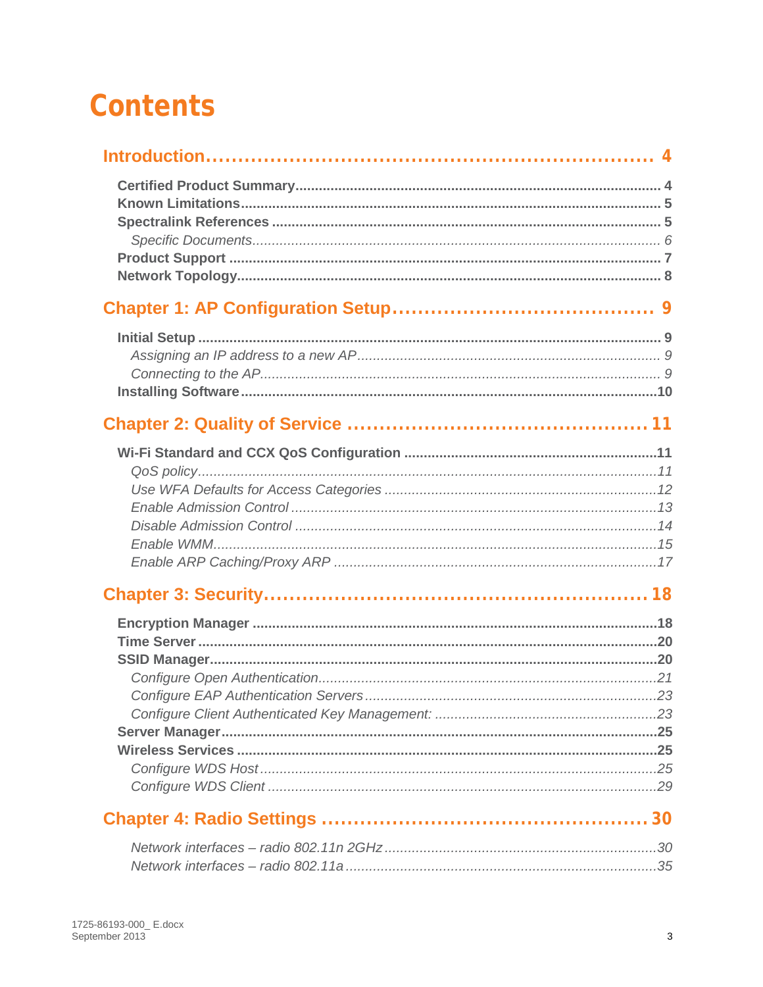# **Contents**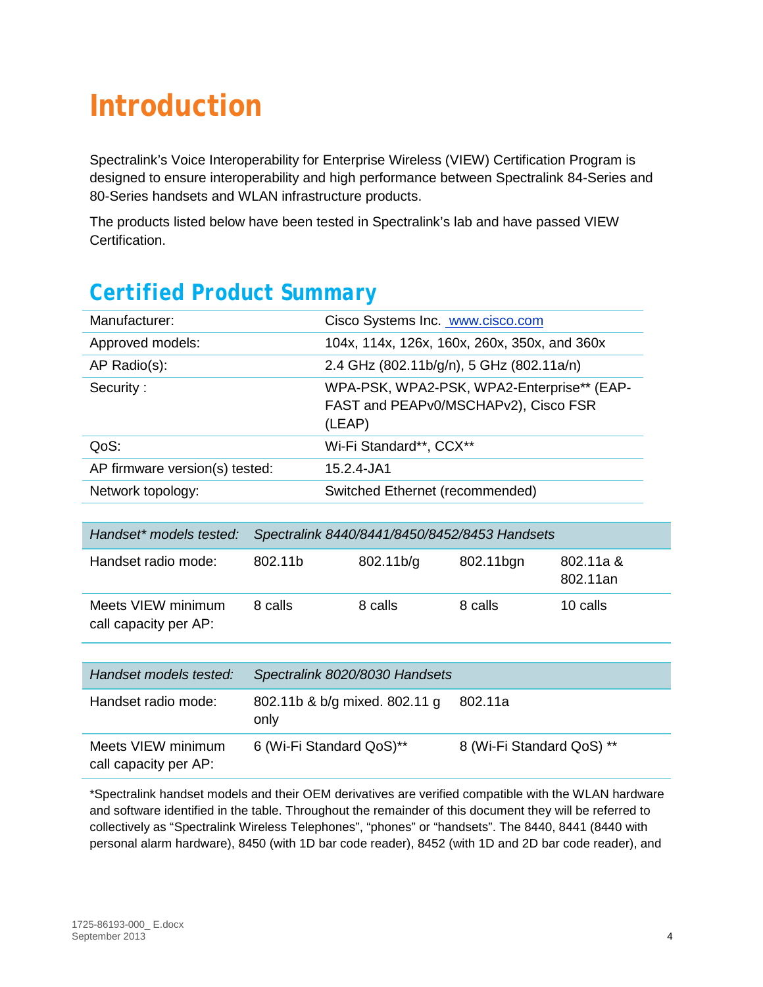# <span id="page-3-0"></span>**Introduction**

Spectralink's Voice Interoperability for Enterprise Wireless (VIEW) Certification Program is designed to ensure interoperability and high performance between Spectralink 84-Series and 80-Series handsets and WLAN infrastructure products.

The products listed below have been tested in Spectralink's lab and have passed VIEW Certification.

## <span id="page-3-1"></span>*Certified Product Summary*

| Manufacturer:                               |         | Cisco Systems Inc. <b>WWW.cisco.com</b>                                                      |                                          |                       |  |
|---------------------------------------------|---------|----------------------------------------------------------------------------------------------|------------------------------------------|-----------------------|--|
| Approved models:                            |         | 104x, 114x, 126x, 160x, 260x, 350x, and 360x                                                 |                                          |                       |  |
| AP Radio(s):                                |         |                                                                                              | 2.4 GHz (802.11b/g/n), 5 GHz (802.11a/n) |                       |  |
| Security:                                   |         | WPA-PSK, WPA2-PSK, WPA2-Enterprise** (EAP-<br>FAST and PEAPv0/MSCHAPv2), Cisco FSR<br>(LEAP) |                                          |                       |  |
| QoS:                                        |         | Wi-Fi Standard**, CCX**                                                                      |                                          |                       |  |
| AP firmware version(s) tested:              |         | 15.2.4-JA1                                                                                   |                                          |                       |  |
| Network topology:                           |         | Switched Ethernet (recommended)                                                              |                                          |                       |  |
|                                             |         |                                                                                              |                                          |                       |  |
| Handset* models tested:                     |         | Spectralink 8440/8441/8450/8452/8453 Handsets                                                |                                          |                       |  |
| Handset radio mode:                         | 802.11b | 802.11b/g                                                                                    | 802.11bgn                                | 802.11a &<br>802.11an |  |
| Meets VIEW minimum<br>call capacity per AP: | 8 calls | 8 calls                                                                                      | 8 calls                                  | 10 calls              |  |
|                                             |         |                                                                                              |                                          |                       |  |
| Handset models tested:                      |         | Spectralink 8020/8030 Handsets                                                               |                                          |                       |  |
| Handset radio mode:                         | only    | 802.11b & b/g mixed. 802.11 g                                                                | 802.11a                                  |                       |  |
| Meets VIEW minimum<br>call capacity per AP: |         | 6 (Wi-Fi Standard QoS)**                                                                     | 8 (Wi-Fi Standard QoS) **                |                       |  |

\*Spectralink handset models and their OEM derivatives are verified compatible with the WLAN hardware and software identified in the table. Throughout the remainder of this document they will be referred to collectively as "Spectralink Wireless Telephones", "phones" or "handsets". The 8440, 8441 (8440 with personal alarm hardware), 8450 (with 1D bar code reader), 8452 (with 1D and 2D bar code reader), and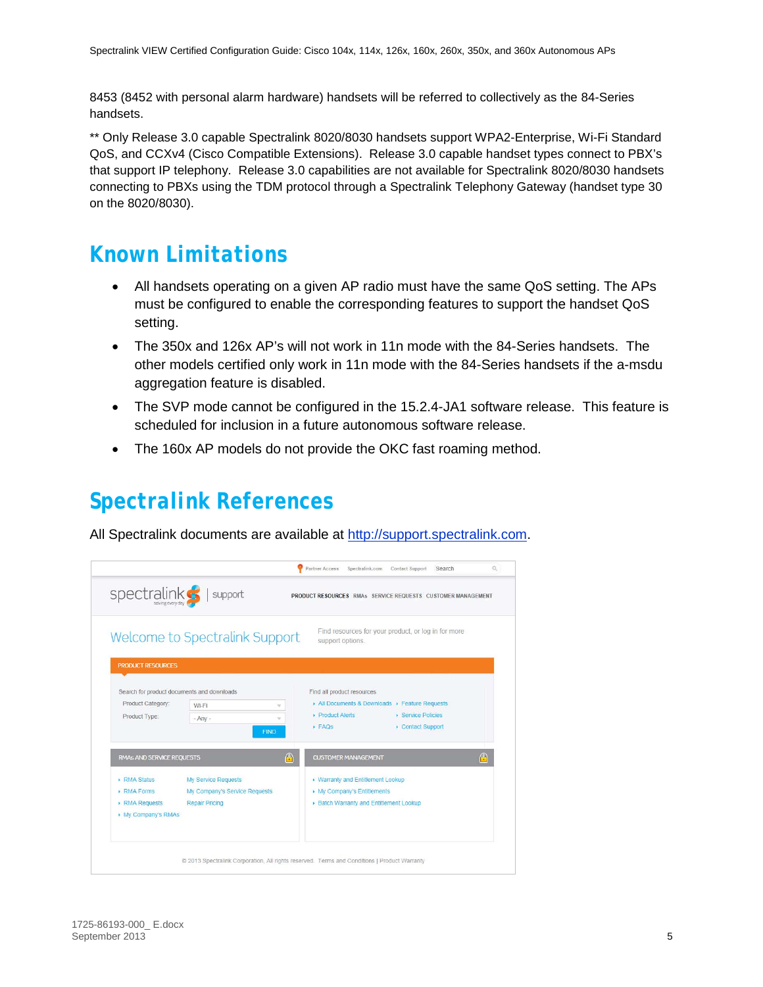8453 (8452 with personal alarm hardware) handsets will be referred to collectively as the 84-Series handsets.

\*\* Only Release 3.0 capable Spectralink 8020/8030 handsets support WPA2-Enterprise, Wi-Fi Standard QoS, and CCXv4 (Cisco Compatible Extensions). Release 3.0 capable handset types connect to PBX's that support IP telephony. Release 3.0 capabilities are not available for Spectralink 8020/8030 handsets connecting to PBXs using the TDM protocol through a Spectralink Telephony Gateway (handset type 30 on the 8020/8030).

### <span id="page-4-0"></span>*Known Limitations*

- All handsets operating on a given AP radio must have the same QoS setting. The APs must be configured to enable the corresponding features to support the handset QoS setting.
- The 350x and 126x AP's will not work in 11n mode with the 84-Series handsets. The other models certified only work in 11n mode with the 84-Series handsets if the a-msdu aggregation feature is disabled.
- The SVP mode cannot be configured in the 15.2.4-JA1 software release. This feature is scheduled for inclusion in a future autonomous software release.
- The 160x AP models do not provide the OKC fast roaming method.

### <span id="page-4-1"></span>*Spectralink References*

All Spectralink documents are available at [http://support.spectralink.com.](http://support.spectralink.com/)

| spectralink <sup>5</sup>                    | support                                                                                            | PRODUCT RESOURCES RMAs SERVICE REQUESTS CUSTOMER MANAGEMENT                                                                                     |
|---------------------------------------------|----------------------------------------------------------------------------------------------------|-------------------------------------------------------------------------------------------------------------------------------------------------|
|                                             | Welcome to Spectralink Support                                                                     | Find resources for your product, or log in for more<br>support options.                                                                         |
| <b>PRODUCT RESOURCES</b>                    |                                                                                                    |                                                                                                                                                 |
| Product Category:<br>Product Type:          | Search for product documents and downloads<br>Wi-Fi<br>v<br>$-$ Any $-$<br><b>FIND</b>             | Find all product resources<br>All Documents & Downloads > Feature Requests<br>▶ Product Alerts<br>▶ Service Policies<br>FAOs<br>Contact Support |
| <b>RMAS AND SERVICE REQUESTS</b>            | A                                                                                                  | $\bigcap$<br><b>CUSTOMER MANAGEMENT</b>                                                                                                         |
| ▶ RMA Status<br>RMA Forms<br>▶ RMA Requests | My Service Requests<br>My Company's Service Requests<br><b>Repair Pricing</b><br>My Company's RMAs | ▶ Warranty and Entitlement Lookup<br>My Company's Entitlements<br>▶ Batch Warranty and Entitlement Lookup                                       |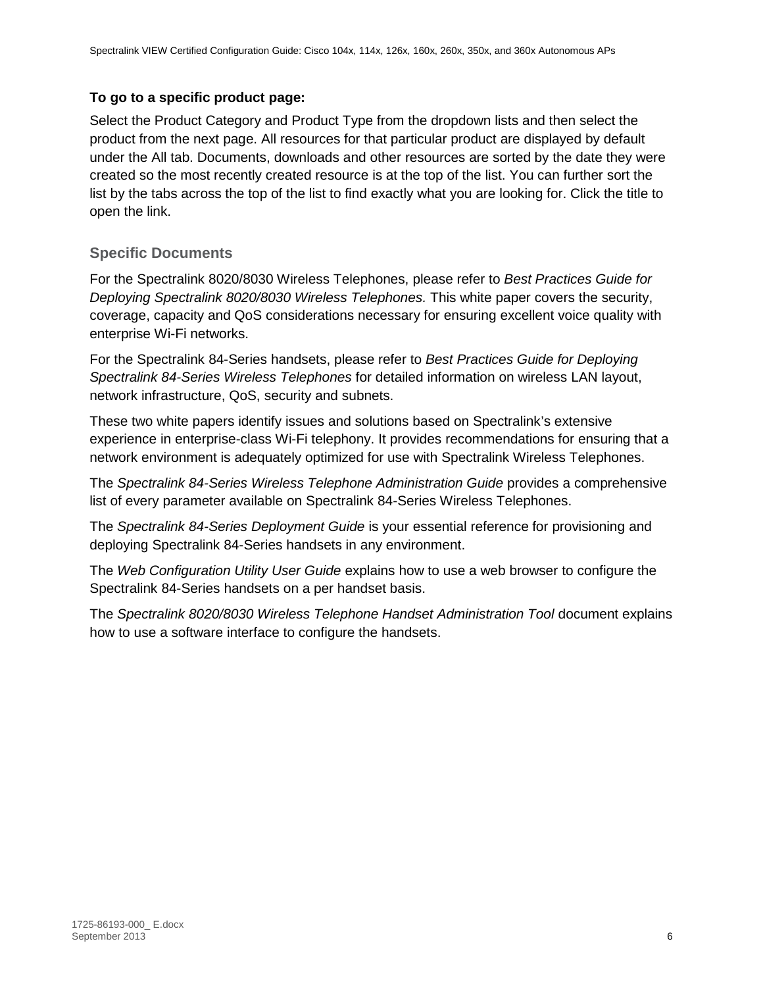#### **To go to a specific product page:**

Select the Product Category and Product Type from the dropdown lists and then select the product from the next page. All resources for that particular product are displayed by default under the All tab. Documents, downloads and other resources are sorted by the date they were created so the most recently created resource is at the top of the list. You can further sort the list by the tabs across the top of the list to find exactly what you are looking for. Click the title to open the link.

#### <span id="page-5-0"></span>**Specific Documents**

For the Spectralink 8020/8030 Wireless Telephones, please refer to *Best Practices Guide for Deploying Spectralink 8020/8030 Wireless Telephones.* This white paper covers the security, coverage, capacity and QoS considerations necessary for ensuring excellent voice quality with enterprise Wi-Fi networks.

For the Spectralink 84-Series handsets, please refer to *Best Practices Guide for Deploying Spectralink 84-Series Wireless Telephones* for detailed information on wireless LAN layout, network infrastructure, QoS, security and subnets.

These two white papers identify issues and solutions based on Spectralink's extensive experience in enterprise-class Wi-Fi telephony. It provides recommendations for ensuring that a network environment is adequately optimized for use with Spectralink Wireless Telephones.

The *Spectralink 84-Series Wireless Telephone Administration Guide* provides a comprehensive list of every parameter available on Spectralink 84-Series Wireless Telephones.

The *Spectralink 84-Series Deployment Guide* is your essential reference for provisioning and deploying Spectralink 84-Series handsets in any environment.

The *Web Configuration Utility User Guide* explains how to use a web browser to configure the Spectralink 84-Series handsets on a per handset basis.

The *Spectralink 8020/8030 Wireless Telephone Handset Administration Tool* document explains how to use a software interface to configure the handsets.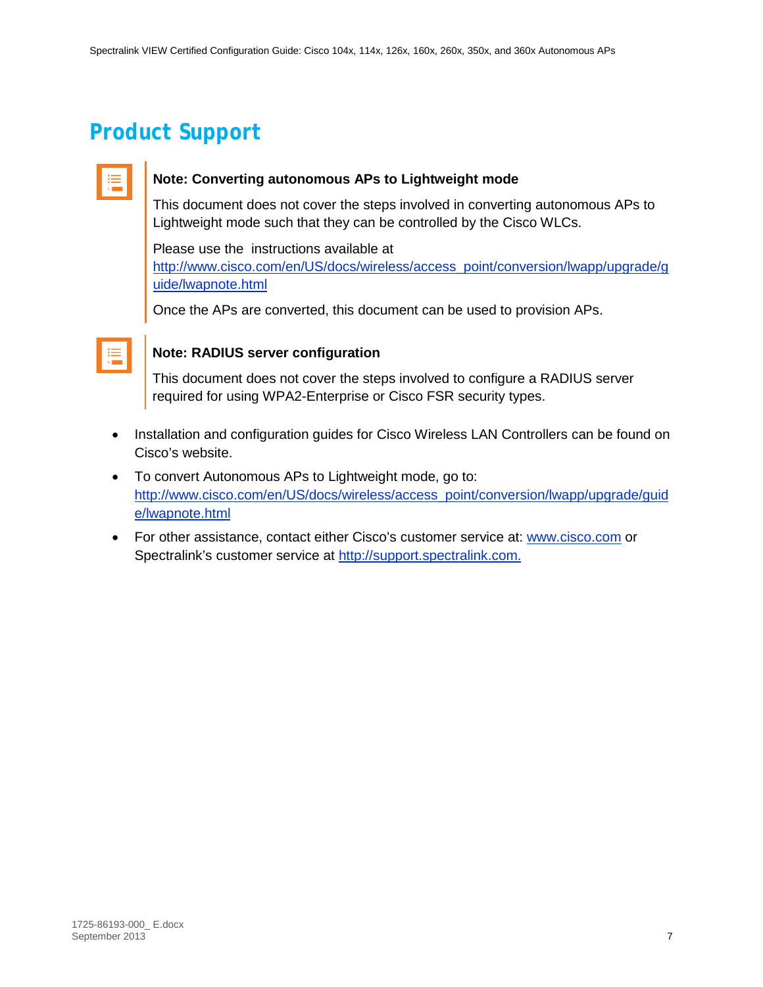## <span id="page-6-0"></span>*Product Support*

| _________ |  |
|-----------|--|
|           |  |
|           |  |
|           |  |
|           |  |
|           |  |

#### **Note: Converting autonomous APs to Lightweight mode**

This document does not cover the steps involved in converting autonomous APs to Lightweight mode such that they can be controlled by the Cisco WLCs.

Please use the instructions available at [http://www.cisco.com/en/US/docs/wireless/access\\_point/conversion/lwapp/upgrade/g](http://www.cisco.com/en/US/docs/wireless/access_point/conversion/lwapp/upgrade/guide/lwapnote.html) [uide/lwapnote.html](http://www.cisco.com/en/US/docs/wireless/access_point/conversion/lwapp/upgrade/guide/lwapnote.html)

Once the APs are converted, this document can be used to provision APs.

| _________<br><b>Service Service</b> |  |
|-------------------------------------|--|
|                                     |  |

#### **Note: RADIUS server configuration**

This document does not cover the steps involved to configure a RADIUS server required for using WPA2-Enterprise or Cisco FSR security types.

- Installation and configuration guides for Cisco Wireless LAN Controllers can be found on Cisco's website.
- To convert Autonomous APs to Lightweight mode, go to: [http://www.cisco.com/en/US/docs/wireless/access\\_point/conversion/lwapp/upgrade/guid](http://www.cisco.com/) [e/lwapnote.html](http://www.cisco.com/)
- For other assistance, contact either Cisco's customer service at: [www.cisco.com](http://www.polycom.com/) or Spectralink's customer service at [http://support.spectralink.com.](http://support.spectralink.com/)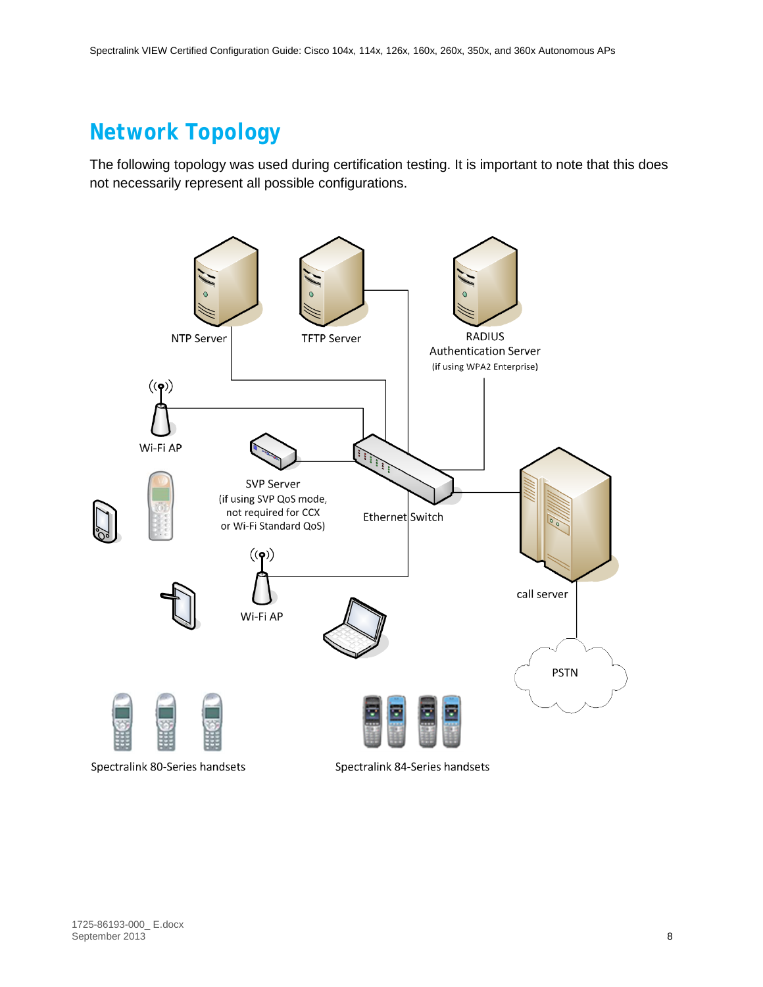## <span id="page-7-0"></span>*Network Topology*

The following topology was used during certification testing. It is important to note that this does not necessarily represent all possible configurations.



Spectralink 84-Series handsets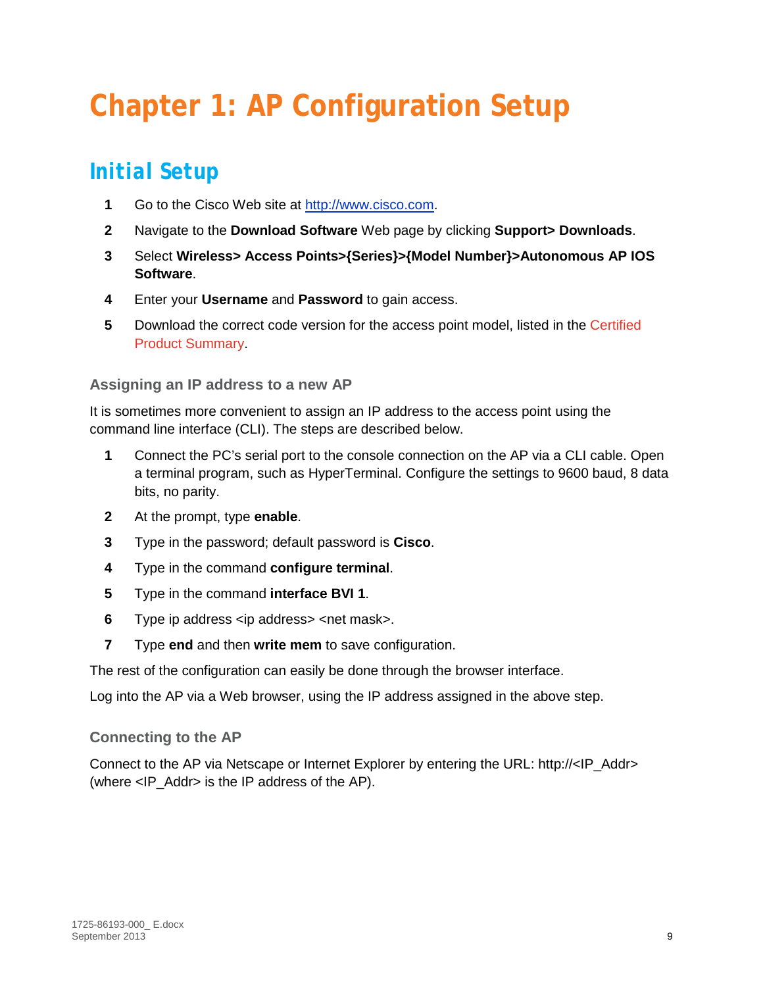# <span id="page-8-0"></span>**Chapter 1: AP Configuration Setup**

## <span id="page-8-1"></span>*Initial Setup*

- **1** Go to the Cisco Web site at [http://www.cisco.com.](http://www.cisco.com/)
- **2** Navigate to the **Download Software** Web page by clicking **Support> Downloads**.
- **3** Select **Wireless> Access Points>{Series}>{Model Number}>Autonomous AP IOS Software**.
- **4** Enter your **Username** and **Password** to gain access.
- **5** Download the correct code version for the access point model, listed in the [Certified](#page-3-1)  [Product Summary.](#page-3-1)

#### <span id="page-8-2"></span>**Assigning an IP address to a new AP**

It is sometimes more convenient to assign an IP address to the access point using the command line interface (CLI). The steps are described below.

- **1** Connect the PC's serial port to the console connection on the AP via a CLI cable. Open a terminal program, such as HyperTerminal. Configure the settings to 9600 baud, 8 data bits, no parity.
- **2** At the prompt, type **enable**.
- **3** Type in the password; default password is **Cisco**.
- **4** Type in the command **configure terminal**.
- **5** Type in the command **interface BVI 1**.
- **6** Type ip address <ip address> <net mask>.
- **7** Type **end** and then **write mem** to save configuration.

The rest of the configuration can easily be done through the browser interface.

<span id="page-8-3"></span>Log into the AP via a Web browser, using the IP address assigned in the above step.

#### **Connecting to the AP**

Connect to the AP via Netscape or Internet Explorer by entering the URL: http://<IP\_Addr> (where  $\leq$  IP Addr> is the IP address of the AP).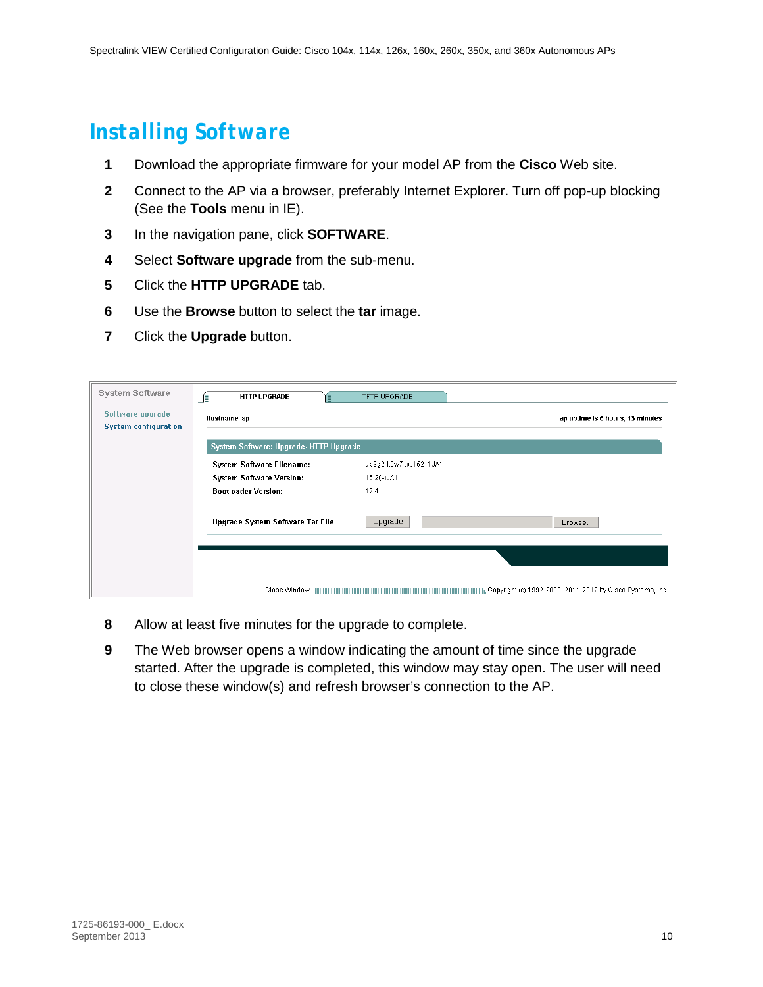### <span id="page-9-0"></span>*Installing Software*

- **1** Download the appropriate firmware for your model AP from the **Cisco** Web site.
- **2** Connect to the AP via a browser, preferably Internet Explorer. Turn off pop-up blocking (See the **Tools** menu in IE).
- **3** In the navigation pane, click **SOFTWARE**.
- **4** Select **Software upgrade** from the sub-menu.
- **5** Click the **HTTP UPGRADE** tab.
- **6** Use the **Browse** button to select the **tar** image.
- **7** Click the **Upgrade** button.

| System Software                                 | <b>HTTP UPGRADE</b><br>JE.            | TFTP UPGRADE            |                                                           |
|-------------------------------------------------|---------------------------------------|-------------------------|-----------------------------------------------------------|
| Software upgrade<br><b>System configuration</b> | Hostname ap                           |                         | ap uptime is 6 hours, 13 minutes                          |
|                                                 | System Software: Upgrade-HTTP Upgrade |                         |                                                           |
|                                                 | <b>System Software Filename:</b>      | ap3g2-k9w7-xx.152-4.JA1 |                                                           |
|                                                 | <b>System Software Version:</b>       | 15.2(4)JA1              |                                                           |
|                                                 | <b>Bootloader Version:</b>            | 12.4                    |                                                           |
|                                                 | Upgrade System Software Tar File:     | Upgrade                 | Browse                                                    |
|                                                 |                                       |                         |                                                           |
|                                                 | Close Window                          |                         | Copyright (c) 1992-2009, 2011-2012 by Cisco Systems, Inc. |

- **8** Allow at least five minutes for the upgrade to complete.
- **9** The Web browser opens a window indicating the amount of time since the upgrade started. After the upgrade is completed, this window may stay open. The user will need to close these window(s) and refresh browser's connection to the AP.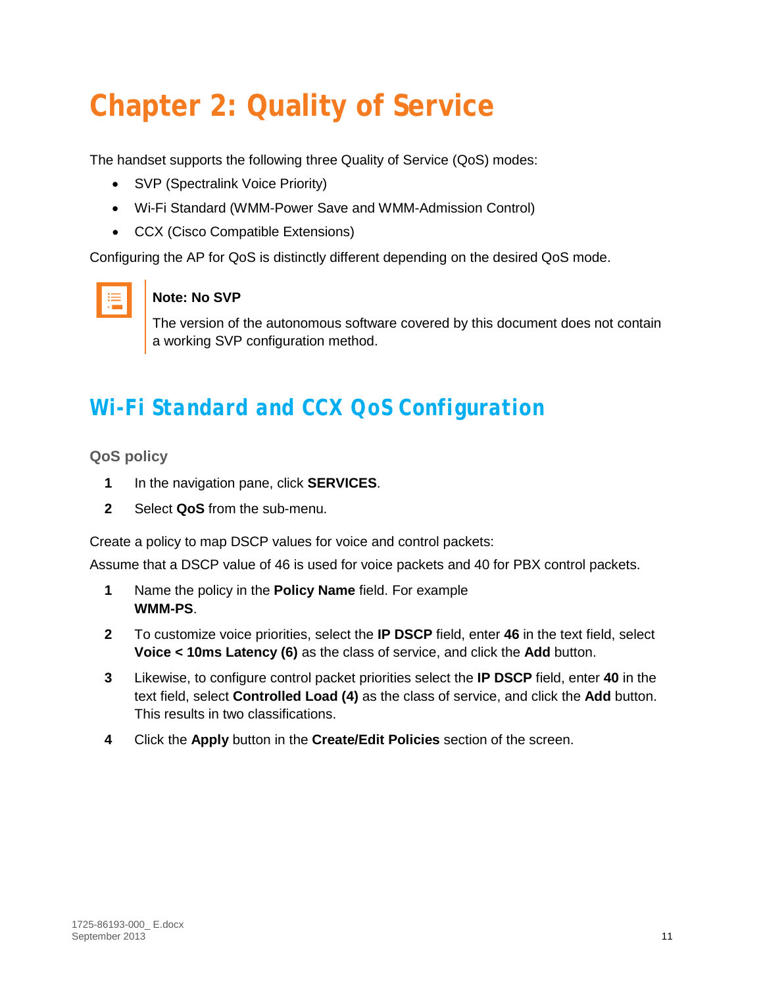# <span id="page-10-0"></span>**Chapter 2: Quality of Service**

The handset supports the following three Quality of Service (QoS) modes:

- SVP (Spectralink Voice Priority)
- Wi-Fi Standard (WMM-Power Save and WMM-Admission Control)
- CCX (Cisco Compatible Extensions)

Configuring the AP for QoS is distinctly different depending on the desired QoS mode.



#### **Note: No SVP**

The version of the autonomous software covered by this document does not contain a working SVP configuration method.

## <span id="page-10-1"></span>*Wi-Fi Standard and CCX QoS Configuration*

<span id="page-10-2"></span>**QoS policy**

- **1** In the navigation pane, click **SERVICES**.
- **2** Select **QoS** from the sub-menu.

Create a policy to map DSCP values for voice and control packets:

Assume that a DSCP value of 46 is used for voice packets and 40 for PBX control packets.

- **1** Name the policy in the **Policy Name** field. For example **WMM-PS**.
- **2** To customize voice priorities, select the **IP DSCP** field, enter **46** in the text field, select **Voice < 10ms Latency (6)** as the class of service, and click the **Add** button.
- **3** Likewise, to configure control packet priorities select the **IP DSCP** field, enter **40** in the text field, select **Controlled Load (4)** as the class of service, and click the **Add** button. This results in two classifications.
- **4** Click the **Apply** button in the **Create/Edit Policies** section of the screen.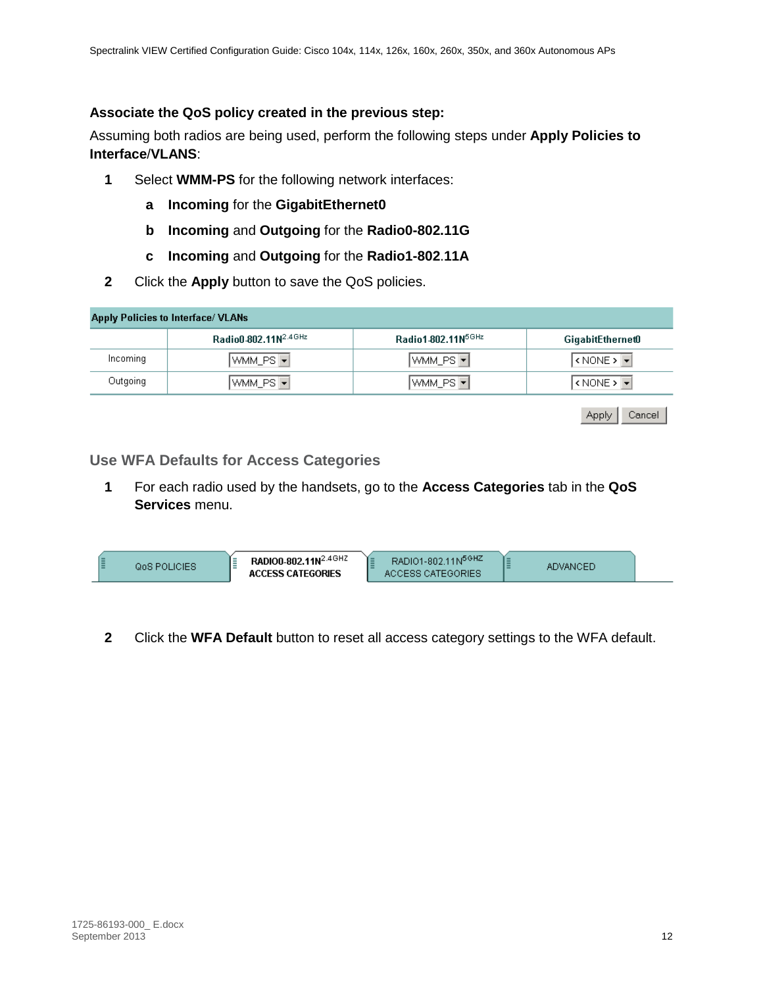#### **Associate the QoS policy created in the previous step:**

Assuming both radios are being used, perform the following steps under **Apply Policies to Interface**/**VLANS**:

- **1** Select **WMM-PS** for the following network interfaces:
	- **a Incoming** for the **GigabitEthernet0**
	- **b Incoming** and **Outgoing** for the **Radio0-802.11G**
	- **c Incoming** and **Outgoing** for the **Radio1-802**.**11A**
- **2** Click the **Apply** button to save the QoS policies.

|          | <b>Apply Policies to Interface/ VLANs</b> |                       |                                                                             |
|----------|-------------------------------------------|-----------------------|-----------------------------------------------------------------------------|
|          | Radio0-802.11N2.4GHz                      | Radio1-802.11N5GHz    | <b>GigabitEthernet0</b>                                                     |
| Incoming | WMM_PS   <del>▼</del>                     | WMM_PS <mark>▼</mark> | $\overline{\left \right.$ ( NONE > $\overline{\left \right. \cdot \right.}$ |
| Outgoing | WMM_PS   <del>▼</del>                     | WMM_PS ▼              | $\vert$ < NONE > $\vert \mathbf{v} \vert$                                   |

| Apply | Cancel |
|-------|--------|
|-------|--------|

#### <span id="page-11-0"></span>**Use WFA Defaults for Access Categories**

**1** For each radio used by the handsets, go to the **Access Categories** tab in the **QoS Services** menu.

| RADIO0-802.11N <sup>2.4GHZ</sup><br>RADIO1-802.11N <sup>5GHZ</sup><br>QoS POLICIES<br>ADVANCED.<br><b>\TEGORIES</b><br>ORIES |
|------------------------------------------------------------------------------------------------------------------------------|
|------------------------------------------------------------------------------------------------------------------------------|

**2** Click the **WFA Default** button to reset all access category settings to the WFA default.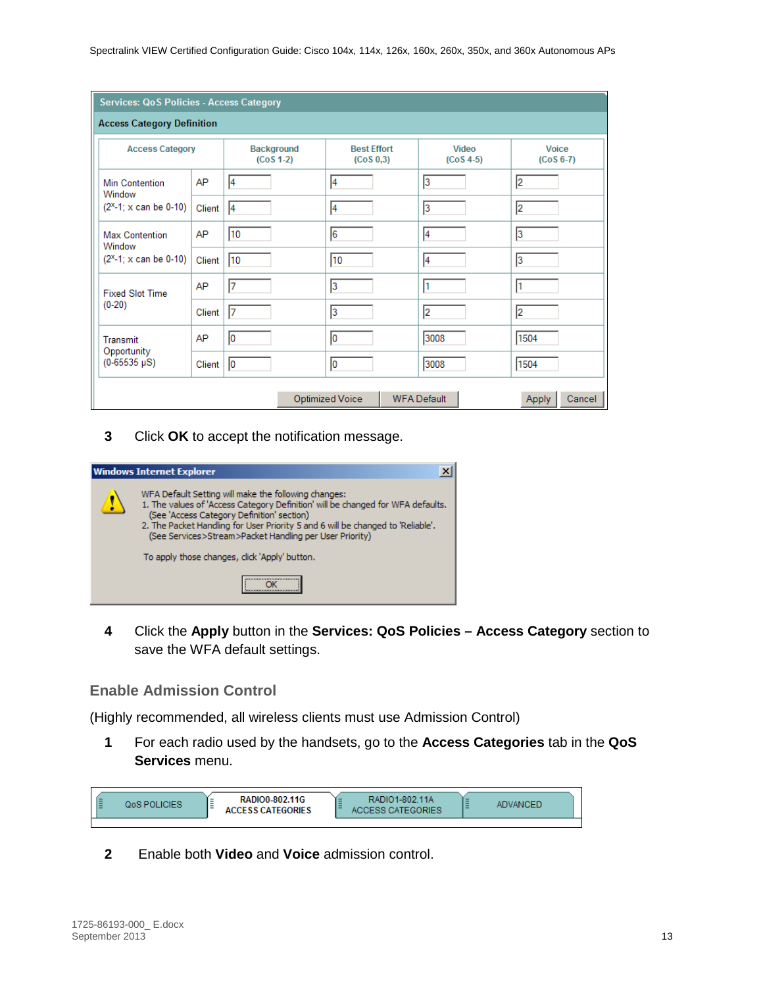|                                   | <b>Services: QoS Policies - Access Category</b> |                           |                                  |                      |                        |
|-----------------------------------|-------------------------------------------------|---------------------------|----------------------------------|----------------------|------------------------|
| <b>Access Category Definition</b> |                                                 |                           |                                  |                      |                        |
| <b>Access Category</b>            |                                                 | Background<br>$(CoS 1-2)$ | <b>Best Effort</b><br>(Cos 0, 3) | Video<br>$(Cos 4-5)$ | Voice<br>$(CoS 6-7)$   |
| <b>Min Contention</b><br>Window   | AP                                              | 4                         | 4                                | 3                    | 2                      |
| $(2x-1; x can be 0-10)$           | Client                                          | 4                         | 4                                | $\overline{3}$       | 2                      |
| <b>Max Contention</b><br>Window   | AP                                              | 10                        | 6                                | 4                    | 3                      |
| $(2x-1; x can be 0-10)$           | Client                                          | 10                        | 10                               | $\vert$ 4            | 3                      |
| <b>Fixed Slot Time</b>            | AP                                              | 17                        | $\overline{3}$                   | ł1                   |                        |
| $(0-20)$                          | Client                                          | 17                        | $\vert$ 3                        | $\overline{2}$       | 2                      |
| Transmit                          | AP                                              | 10                        | 10                               | 3008                 | 1504                   |
| Opportunity<br>$(0-65535 \mu S)$  | Client                                          | 10                        | 10                               | 3008                 | 1504                   |
|                                   |                                                 |                           | <b>Optimized Voice</b>           | <b>WFA Default</b>   | Cancel<br><b>Apply</b> |

**3** Click **OK** to accept the notification message.



**4** Click the **Apply** button in the **Services: QoS Policies – Access Category** section to save the WFA default settings.

#### <span id="page-12-0"></span>**Enable Admission Control**

(Highly recommended, all wireless clients must use Admission Control)

**1** For each radio used by the handsets, go to the **Access Categories** tab in the **QoS Services** menu.



**2** Enable both **Video** and **Voice** admission control.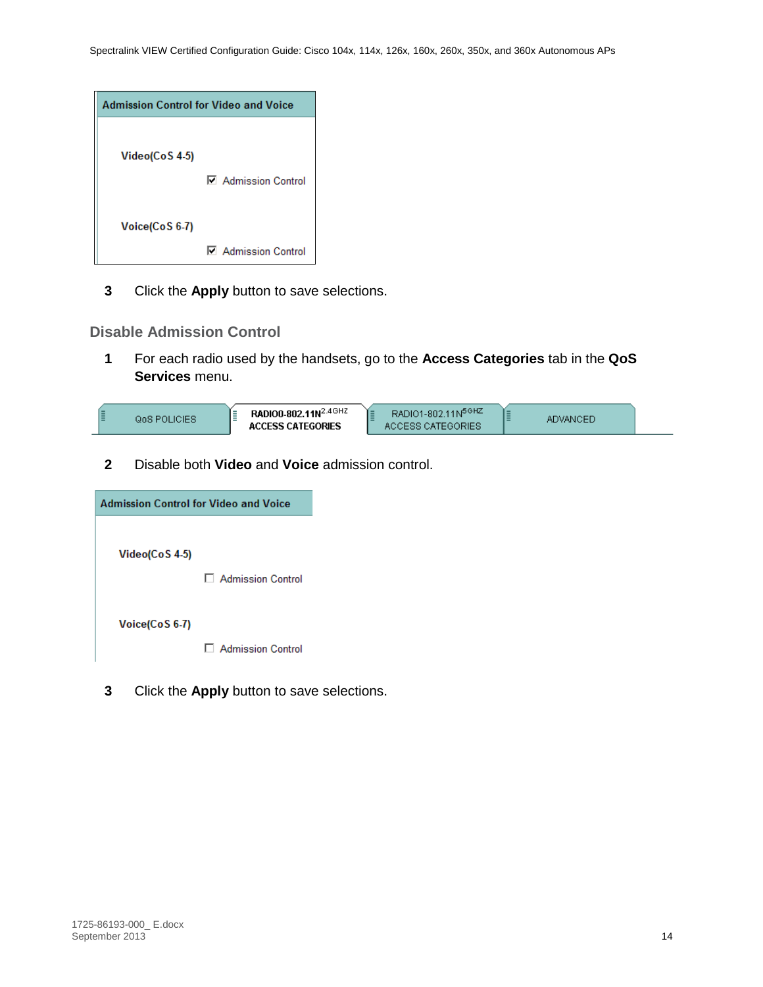| <b>Admission Control for Video and Voice</b> |                            |
|----------------------------------------------|----------------------------|
| Video(CoS 4-5)                               | <b>□ Admission Control</b> |
| Voice(CoS 6-7)                               | <b>□</b> Admission Control |

**3** Click the **Apply** button to save selections.

#### <span id="page-13-0"></span>**Disable Admission Control**

**1** For each radio used by the handsets, go to the **Access Categories** tab in the **QoS Services** menu.



**2** Disable both **Video** and **Voice** admission control.

| <b>Admission Control for Video and Voice</b> |                     |  |
|----------------------------------------------|---------------------|--|
| Video(CoS 4-5)                               | □ Admission Control |  |
| Voice(CoS 6-7)                               | □ Admission Control |  |

**3** Click the **Apply** button to save selections.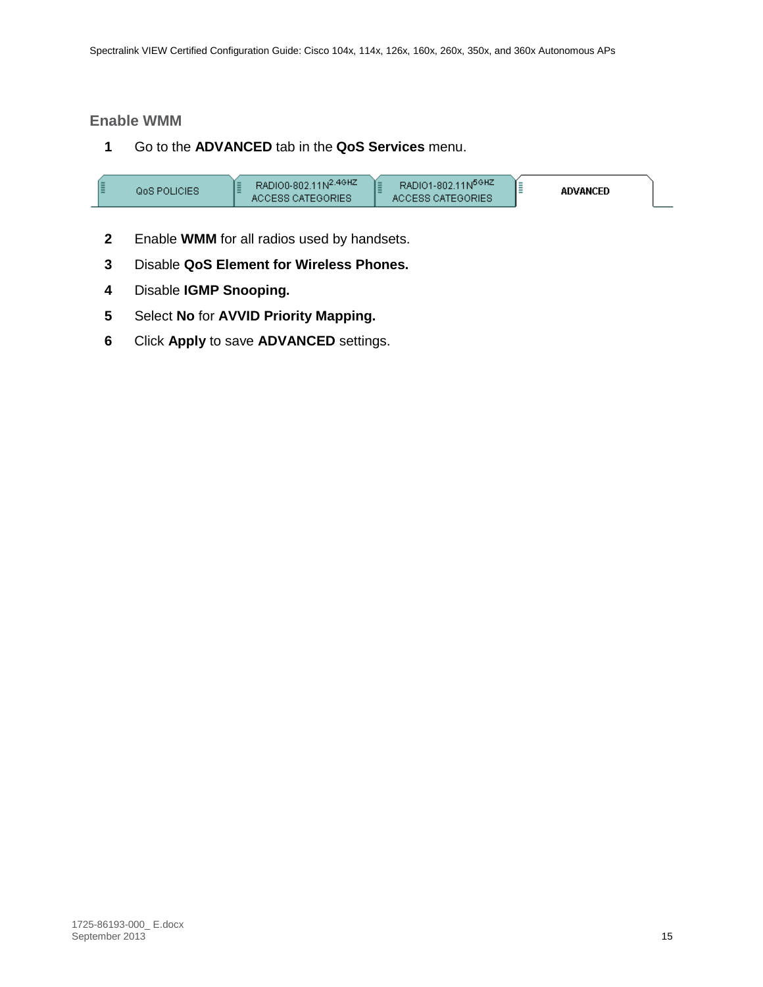#### <span id="page-14-0"></span>**Enable WMM**

**1** Go to the **ADVANCED** tab in the **QoS Services** menu.

| RADIO0-802.11N <sup>2.4GHZ</sup><br><b>GoS POLICIES</b><br>ACCESS CATEGORIES | RADIO1-802.11N <sup>5GHZ</sup><br>ACCESS CATEGORIES | <b>ADVANCED</b> |  |
|------------------------------------------------------------------------------|-----------------------------------------------------|-----------------|--|
|------------------------------------------------------------------------------|-----------------------------------------------------|-----------------|--|

- **2** Enable **WMM** for all radios used by handsets.
- **3** Disable **QoS Element for Wireless Phones.**
- **4** Disable **IGMP Snooping.**
- **5** Select **No** for **AVVID Priority Mapping.**
- **6** Click **Apply** to save **ADVANCED** settings.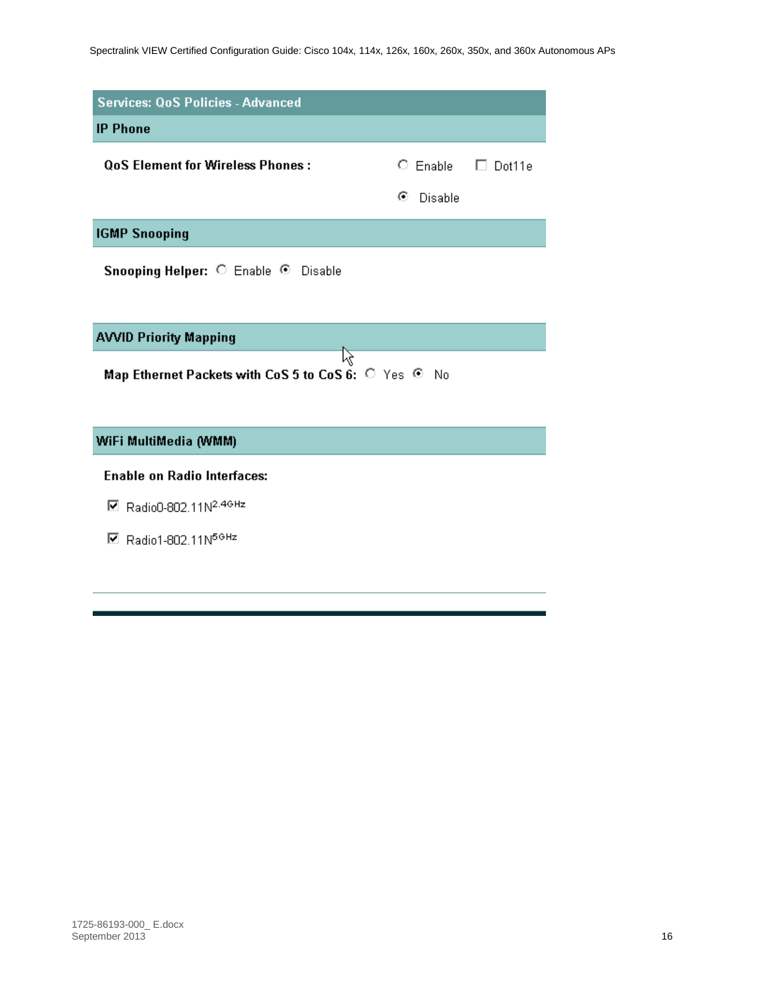| <b>Services: QoS Policies - Advanced</b>                         |              |                              |  |
|------------------------------------------------------------------|--------------|------------------------------|--|
| <b>IP Phone</b>                                                  |              |                              |  |
| <b>OoS Element for Wireless Phones :</b>                         |              | $\circ$ Enable $\Box$ Dot11e |  |
|                                                                  | ⊙<br>Disable |                              |  |
| <b>IGMP Snooping</b>                                             |              |                              |  |
| Snooping Helper: C Enable © Disable                              |              |                              |  |
| <b>AVVID Priority Mapping</b>                                    |              |                              |  |
| Map Ethernet Packets with CoS 5 to CoS 6: $\circ$ Yes $\circ$ No |              |                              |  |

#### WiFi MultiMedia (WMM)

#### **Enable on Radio Interfaces:**

- Radio0-802.11N<sup>2.4GHz</sup>
- $\boxdot$  Radio1-802.11N<sup>5GHz</sup>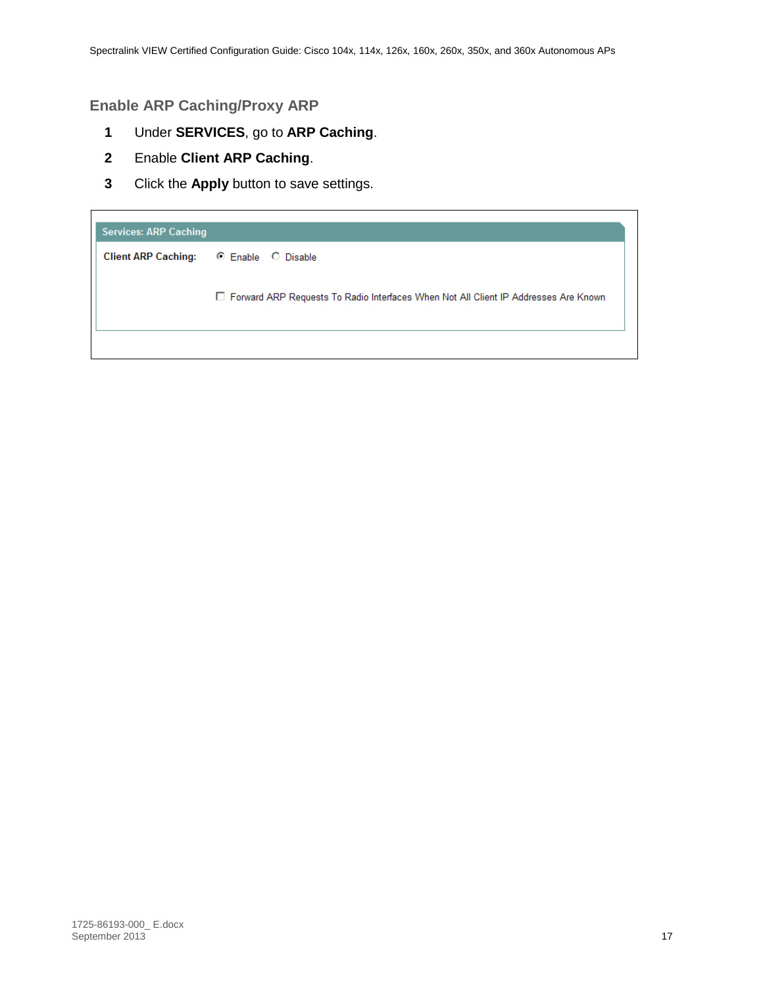#### <span id="page-16-0"></span>**Enable ARP Caching/Proxy ARP**

- **1** Under **SERVICES**, go to **ARP Caching**.
- **2** Enable **Client ARP Caching**.
- **3** Click the **Apply** button to save settings.

| <b>Services: ARP Caching</b> |                                                                                       |
|------------------------------|---------------------------------------------------------------------------------------|
| <b>Client ARP Caching:</b>   | . ⓒ Enable . ◯ Disable                                                                |
|                              | □ Forward ARP Requests To Radio Interfaces When Not All Client IP Addresses Are Known |
|                              |                                                                                       |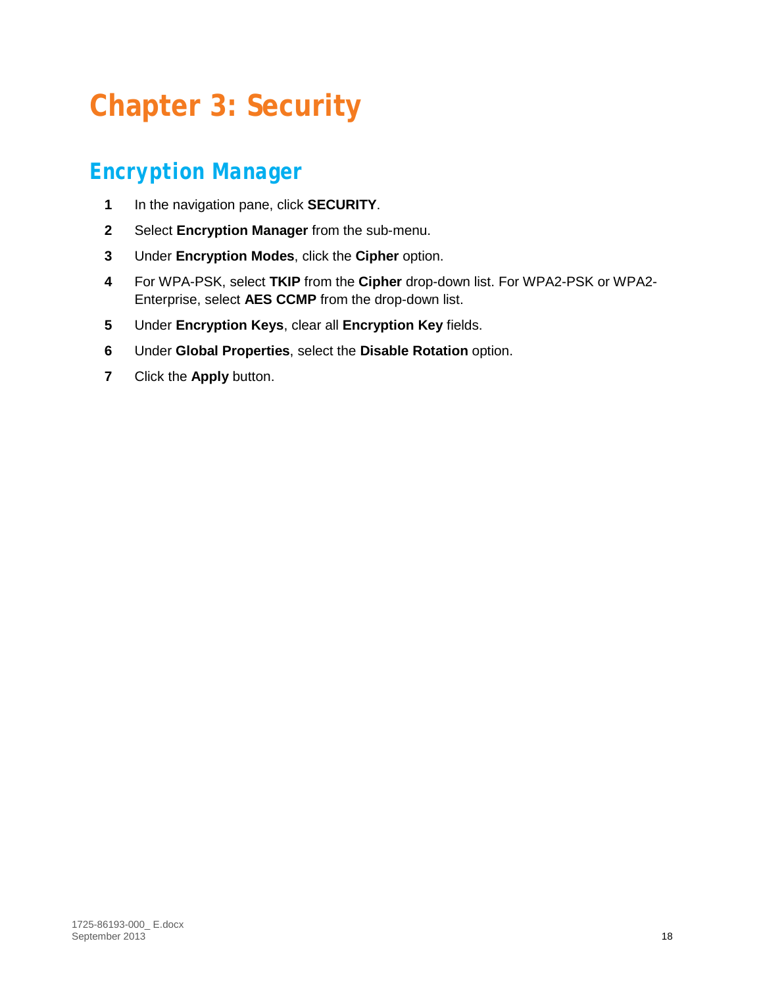# <span id="page-17-0"></span>**Chapter 3: Security**

## <span id="page-17-1"></span>*Encryption Manager*

- **1** In the navigation pane, click **SECURITY**.
- **2** Select **Encryption Manager** from the sub-menu.
- **3** Under **Encryption Modes**, click the **Cipher** option.
- **4** For WPA-PSK, select **TKIP** from the **Cipher** drop-down list. For WPA2-PSK or WPA2- Enterprise, select **AES CCMP** from the drop-down list.
- **5** Under **Encryption Keys**, clear all **Encryption Key** fields.
- **6** Under **Global Properties**, select the **Disable Rotation** option.
- **7** Click the **Apply** button.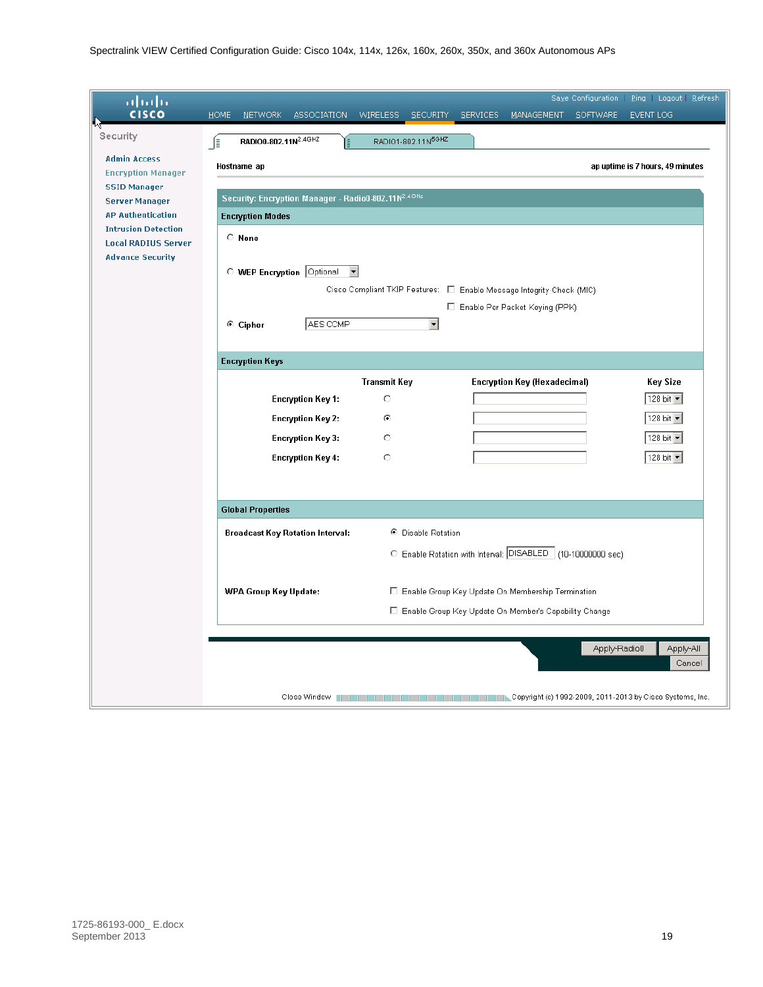| ahah                                                   |                                                       |                                    |                                                                               |                                               |
|--------------------------------------------------------|-------------------------------------------------------|------------------------------------|-------------------------------------------------------------------------------|-----------------------------------------------|
| <b>CISCO</b>                                           | HOME<br><b>NETWORK</b><br><b>ASSOCIATION</b>          | <b>WIRELESS</b><br><b>SECURITY</b> | <b>MANAGEMENT</b><br>SERVICES                                                 | SOFTWARE<br>EVENT LOG                         |
| Security                                               | RADIO0-802.11N <sup>2.4GHZ</sup><br>∫∃                | RADIO1-802.11N <sup>5GHZ</sup>     |                                                                               |                                               |
| <b>Admin Access</b>                                    |                                                       |                                    |                                                                               |                                               |
| <b>Encryption Manager</b>                              | Hostname ap                                           |                                    |                                                                               | ap uptime is 7 hours, 49 minutes              |
| <b>SSID Manager</b>                                    |                                                       |                                    |                                                                               |                                               |
| <b>Server Manager</b>                                  | Security: Encryption Manager - Radio0-802.11N2.4GHz   |                                    |                                                                               |                                               |
| <b>AP Authentication</b><br><b>Intrusion Detection</b> | <b>Encryption Modes</b>                               |                                    |                                                                               |                                               |
| <b>Local RADIUS Server</b>                             | C None                                                |                                    |                                                                               |                                               |
| <b>Advance Security</b>                                |                                                       |                                    |                                                                               |                                               |
|                                                        | O WEP Encryption Optional<br>$\overline{\phantom{a}}$ |                                    |                                                                               |                                               |
|                                                        |                                                       |                                    | Cisco Compliant TKIP Features: $\square$ Enable Message Integrity Check (MIC) |                                               |
|                                                        |                                                       |                                    | E Enable Per Packet Keying (PPK)                                              |                                               |
|                                                        | AES CCMP<br>$\odot$ Cipher                            | $\blacktriangledown$               |                                                                               |                                               |
|                                                        |                                                       |                                    |                                                                               |                                               |
|                                                        | <b>Encryption Keys</b>                                |                                    |                                                                               |                                               |
|                                                        |                                                       | <b>Transmit Key</b>                | <b>Encryption Key (Hexadecimal)</b>                                           | <b>Key Size</b>                               |
|                                                        | <b>Encryption Key 1:</b>                              | O                                  |                                                                               | 128 bit $\blacktriangledown$                  |
|                                                        |                                                       |                                    |                                                                               |                                               |
|                                                        | <b>Encryption Key 2:</b>                              | ø                                  |                                                                               | 128 bit -                                     |
|                                                        | <b>Encryption Key 3:</b>                              | O                                  |                                                                               | 128 bit $\blacktriangledown$                  |
|                                                        | <b>Encryption Key 4:</b>                              | $\circ$                            |                                                                               | $\sqrt{128 \text{ bit } \blacktriangleright}$ |
|                                                        |                                                       |                                    |                                                                               |                                               |
|                                                        |                                                       |                                    |                                                                               |                                               |
|                                                        | <b>Global Properties</b>                              |                                    |                                                                               |                                               |
|                                                        | <b>Broadcast Key Rotation Interval:</b>               | ● Disable Rotation                 |                                                                               |                                               |
|                                                        |                                                       |                                    | C Enable Rotation with Interval: OISABLED (10-10000000 sec)                   |                                               |
|                                                        |                                                       |                                    |                                                                               |                                               |
|                                                        | <b>WPA Group Key Update:</b>                          |                                    | E Enable Group Key Update On Membership Termination                           |                                               |
|                                                        |                                                       |                                    |                                                                               |                                               |
|                                                        |                                                       |                                    | E Enable Group Key Update On Member's Capability Change                       |                                               |
|                                                        |                                                       |                                    |                                                                               |                                               |
|                                                        |                                                       |                                    |                                                                               | Apply-Radio0<br>Apply-All<br>Cancel           |
|                                                        |                                                       |                                    |                                                                               |                                               |
|                                                        |                                                       |                                    |                                                                               |                                               |
|                                                        | Close Window                                          |                                    |                                                                               |                                               |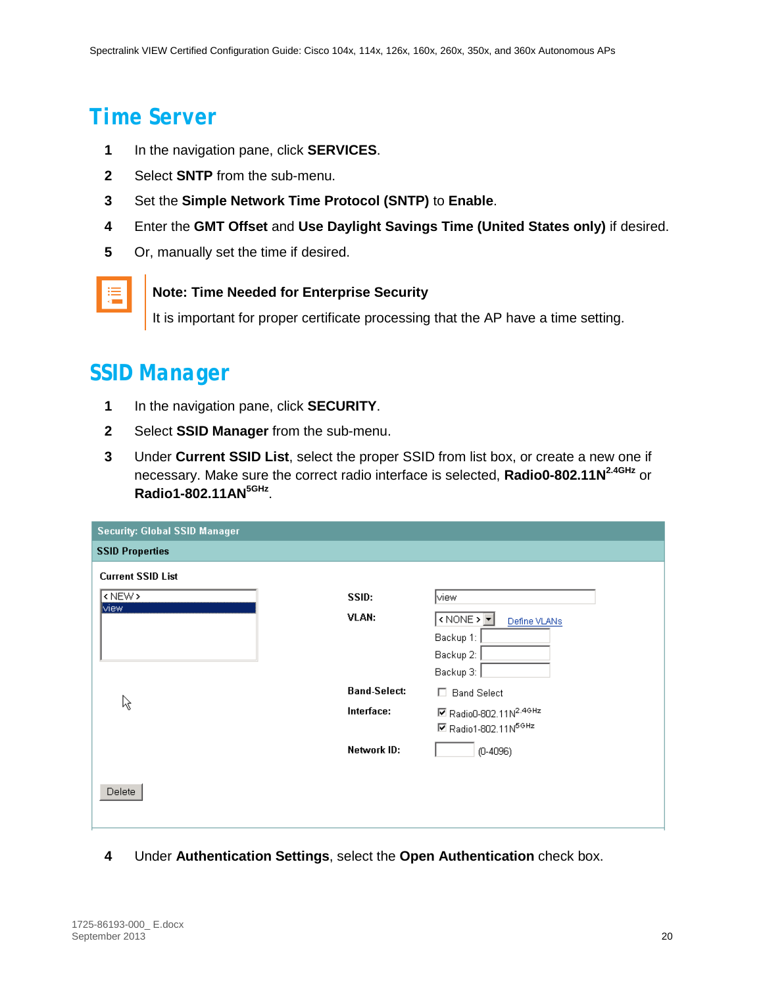### <span id="page-19-0"></span>*Time Server*

- **1** In the navigation pane, click **SERVICES**.
- **2** Select **SNTP** from the sub-menu.
- **3** Set the **Simple Network Time Protocol (SNTP)** to **Enable**.
- **4** Enter the **GMT Offset** and **Use Daylight Savings Time (United States only)** if desired.
- **5** Or, manually set the time if desired.



#### **Note: Time Needed for Enterprise Security**

It is important for proper certificate processing that the AP have a time setting.

### <span id="page-19-1"></span>*SSID Manager*

- **1** In the navigation pane, click **SECURITY**.
- **2** Select **SSID Manager** from the sub-menu.
- **3** Under **Current SSID List**, select the proper SSID from list box, or create a new one if necessary. Make sure the correct radio interface is selected, **Radio0-802.11N2.4GHz** or **Radio1-802.11AN5GHz**.

| <b>Security: Global SSID Manager</b> |                     |                                                     |
|--------------------------------------|---------------------|-----------------------------------------------------|
| <b>SSID Properties</b>               |                     |                                                     |
| <b>Current SSID List</b>             |                     |                                                     |
| <new></new>                          | SSID:               | view                                                |
| view                                 | VLAN:               | $\sim$ NONE > $\blacktriangleright$<br>Define VLANs |
|                                      |                     | Backup 1:                                           |
|                                      |                     | Backup 2:                                           |
|                                      |                     | Backup 3:                                           |
| ぺ                                    | <b>Band-Select:</b> | □ Band Select                                       |
|                                      | Interface:          | ■ Radio0-802.11N <sup>2.4GHz</sup>                  |
|                                      |                     | ■ Radio1-802.11N <sup>5GHz</sup>                    |
|                                      | Network ID:         | $(D-4096)$                                          |
|                                      |                     |                                                     |
| Delete                               |                     |                                                     |
|                                      |                     |                                                     |
|                                      |                     |                                                     |

**4** Under **Authentication Settings**, select the **Open Authentication** check box.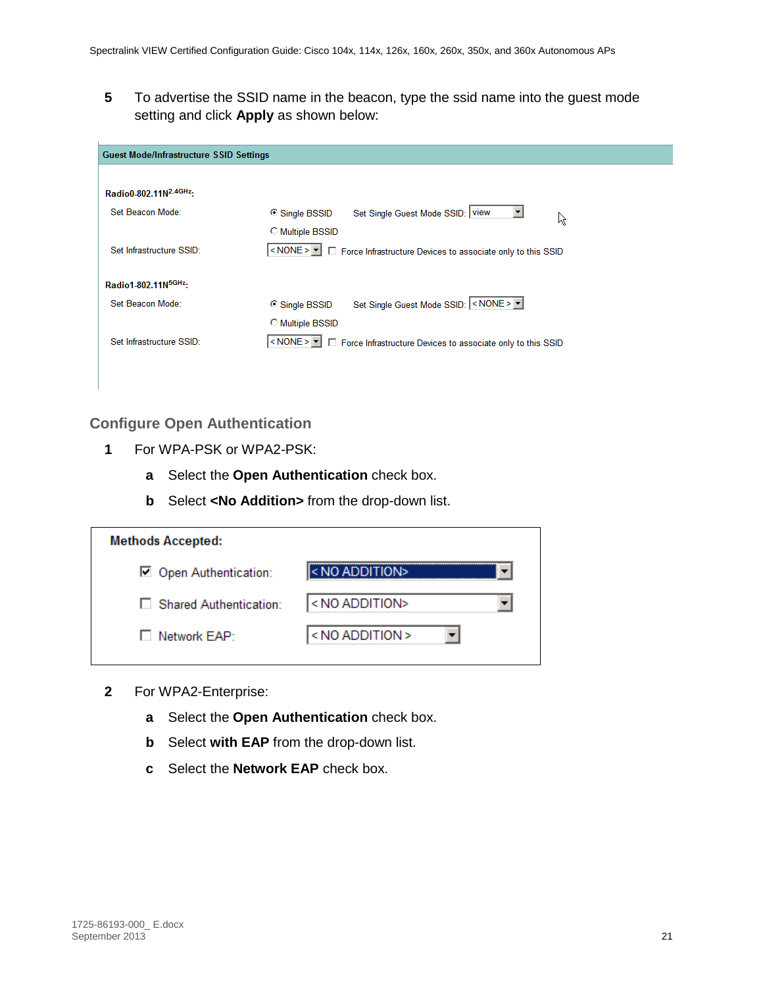**5** To advertise the SSID name in the beacon, type the ssid name into the guest mode setting and click **Apply** as shown below:

| <b>Guest Mode/Infrastructure SSID Settings</b> |                                                                                                     |
|------------------------------------------------|-----------------------------------------------------------------------------------------------------|
|                                                |                                                                                                     |
| Radio0-802.11N <sup>2.4GHz</sup> :             |                                                                                                     |
| Set Beacon Mode:                               | Set Single Guest Mode SSID: View<br>○ Single BSSID<br>R                                             |
|                                                | C Multiple BSSID                                                                                    |
| Set Infrastructure SSID:                       | <none><b>T</b> <math>\Box</math> Force Infrastructure Devices to associate only to this SSID</none> |
|                                                |                                                                                                     |
| Radio1-802.11N <sup>5GHz</sup> :               |                                                                                                     |
| Set Beacon Mode:                               | Set Single Guest Mode SSID: << NONE><br>○ Single BSSID                                              |
|                                                | C Multiple BSSID                                                                                    |
| Set Infrastructure SSID:                       | <none> <math>\blacksquare</math> Force Infrastructure Devices to associate only to this SSID</none> |
|                                                |                                                                                                     |

#### <span id="page-20-0"></span>**Configure Open Authentication**

- **1** For WPA-PSK or WPA2-PSK:
	- **a** Select the **Open Authentication** check box.
	- **b** Select **<No Addition>** from the drop-down list.

| <b>Methods Accepted:</b> |                       |
|--------------------------|-----------------------|
| Open Authentication:     | ll< NO ADDITION>      |
| □ Shared Authentication: | <no addition=""></no> |
| $\Box$ Network $FAP$     | <no addition=""></no> |

- **2** For WPA2-Enterprise:
	- **a** Select the **Open Authentication** check box.
	- **b** Select **with EAP** from the drop-down list.
	- **c** Select the **Network EAP** check box.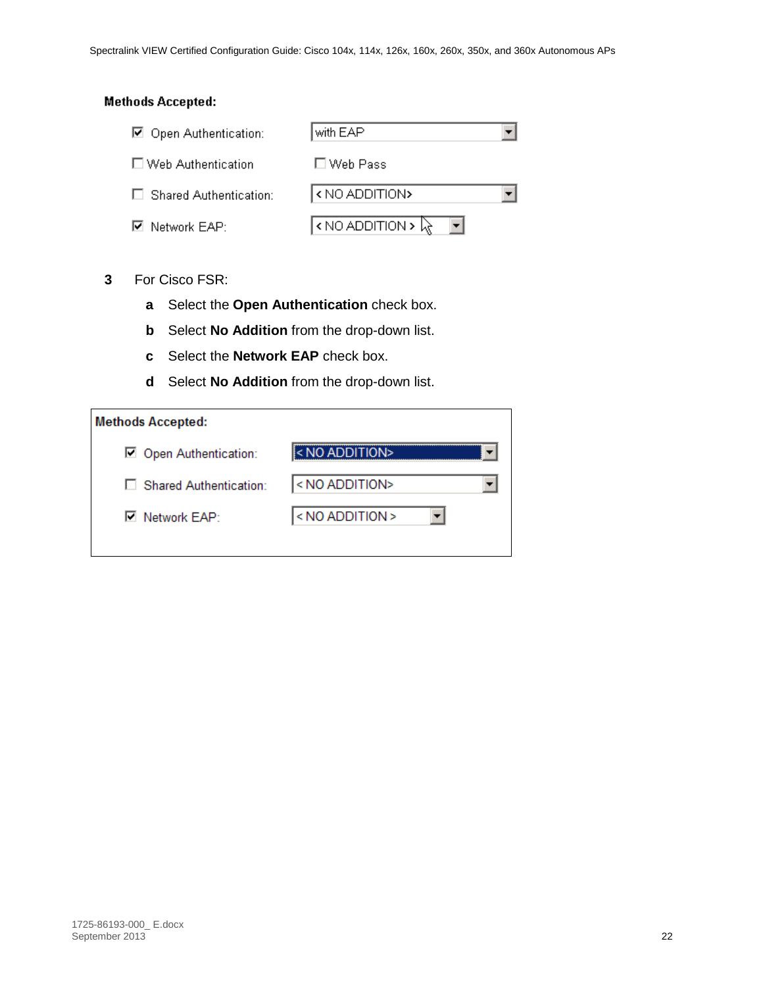#### **Methods Accepted:**

| □ Open Authentication:        | with EAP                        |  |
|-------------------------------|---------------------------------|--|
| □ Web Authentication          | $\square$ Web Pass              |  |
| $\Box$ Shared Authentication: | <no addition=""></no>           |  |
| $\boxdot$ Network EAP:        | $\sim$ NO ADDITION > $\sqrt{x}$ |  |

#### **3** For Cisco FSR:

- **a** Select the **Open Authentication** check box.
- **b** Select **No Addition** from the drop-down list.
- **c** Select the **Network EAP** check box.
- **d** Select **No Addition** from the drop-down list.

| <b>Methods Accepted:</b> |                       |
|--------------------------|-----------------------|
| Open Authentication:     | $\leq NQ$ ADDITION>   |
| □ Shared Authentication: | <no addition=""></no> |
| <b>☑</b> Network EAP:    | < NO ADDITION         |
|                          |                       |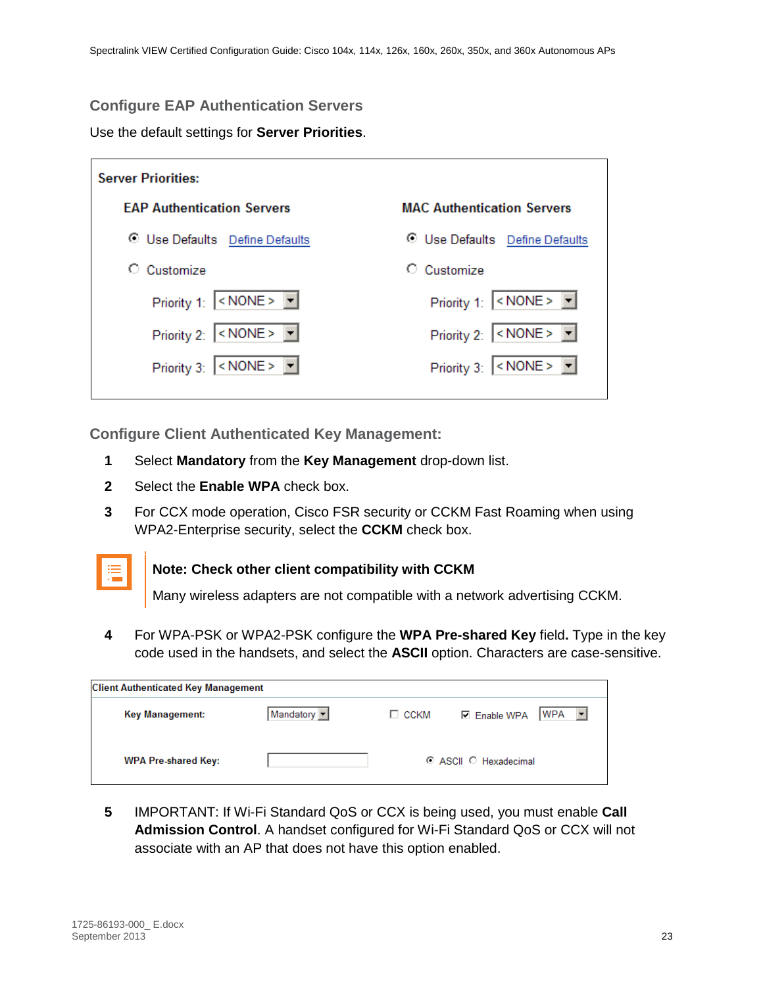#### <span id="page-22-0"></span>**Configure EAP Authentication Servers**

Use the default settings for **Server Priorities**.

| <b>Server Priorities:</b>                        |                                                 |
|--------------------------------------------------|-------------------------------------------------|
| <b>FAP Authentication Servers</b>                | <b>MAC Authentication Servers</b>               |
| <b>O</b> Use Defaults Define Defaults            | <b>O</b> Use Defaults Define Defaults           |
| Customize                                        | Customize                                       |
| Priority 1: $ \leq NONE$ > $\boxed{\bullet}$     | Priority 1: $ \leq NONE > \boxed{\blacksquare}$ |
| Priority 2: $\leq NONE > \mathbf{r}$             | Priority 2: $\leq NONE > \mathbf{r}$            |
| Priority 3: $\vert$ < NONE > $\vert \cdot \vert$ | Priority 3: $\vert$ < NONE > $\vert \vert$      |

<span id="page-22-1"></span>**Configure Client Authenticated Key Management:**

- **1** Select **Mandatory** from the **Key Management** drop-down list.
- **2** Select the **Enable WPA** check box.
- **3** For CCX mode operation, Cisco FSR security or CCKM Fast Roaming when using WPA2-Enterprise security, select the **CCKM** check box.



#### **Note: Check other client compatibility with CCKM**

Many wireless adapters are not compatible with a network advertising CCKM.

**4** For WPA-PSK or WPA2-PSK configure the **WPA Pre-shared Key** field**.** Type in the key code used in the handsets, and select the **ASCII** option. Characters are case-sensitive.

| <b>Client Authenticated Key Management</b> |           |             |                                   |
|--------------------------------------------|-----------|-------------|-----------------------------------|
| Key Management:                            | Mandatory | $\Box$ CCKM | $ WPA -  $<br><b>☑</b> Enable WPA |
| <b>WPA Pre-shared Key:</b>                 |           |             | C ASCII C Hexadecimal             |

**5** IMPORTANT: If Wi-Fi Standard QoS or CCX is being used, you must enable **Call Admission Control**. A handset configured for Wi-Fi Standard QoS or CCX will not associate with an AP that does not have this option enabled.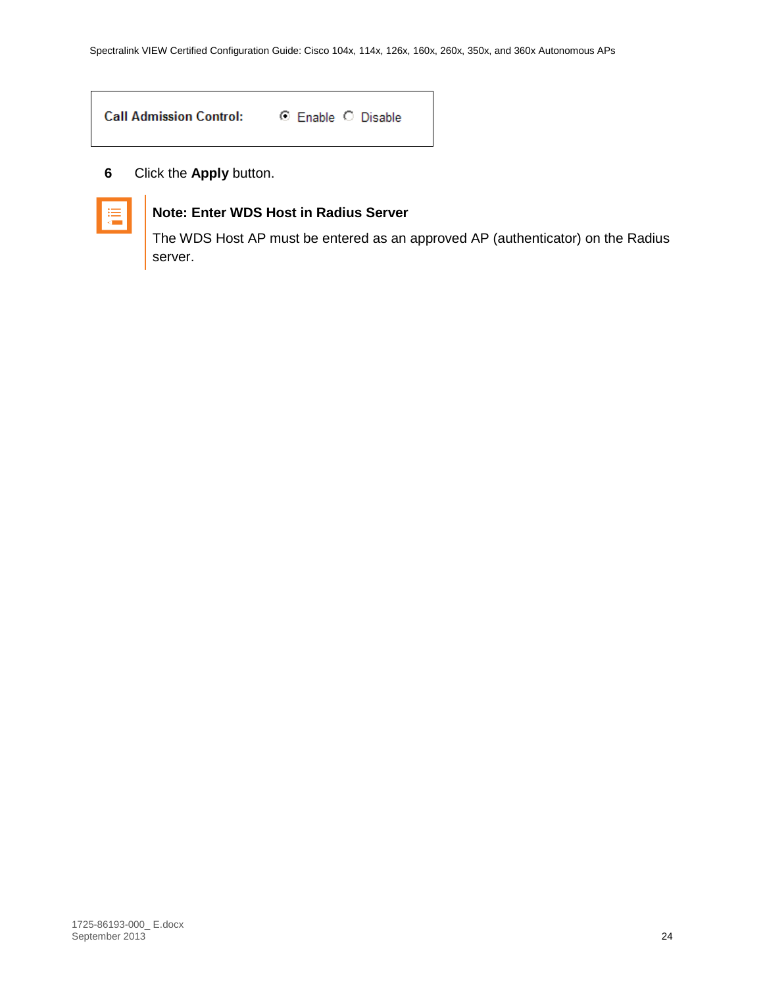| <b>Call Admission Control:</b> | ⊙ Enable ○ Disable |
|--------------------------------|--------------------|
|                                |                    |

**6** Click the **Apply** button.



#### **Note: Enter WDS Host in Radius Server**

The WDS Host AP must be entered as an approved AP (authenticator) on the Radius server.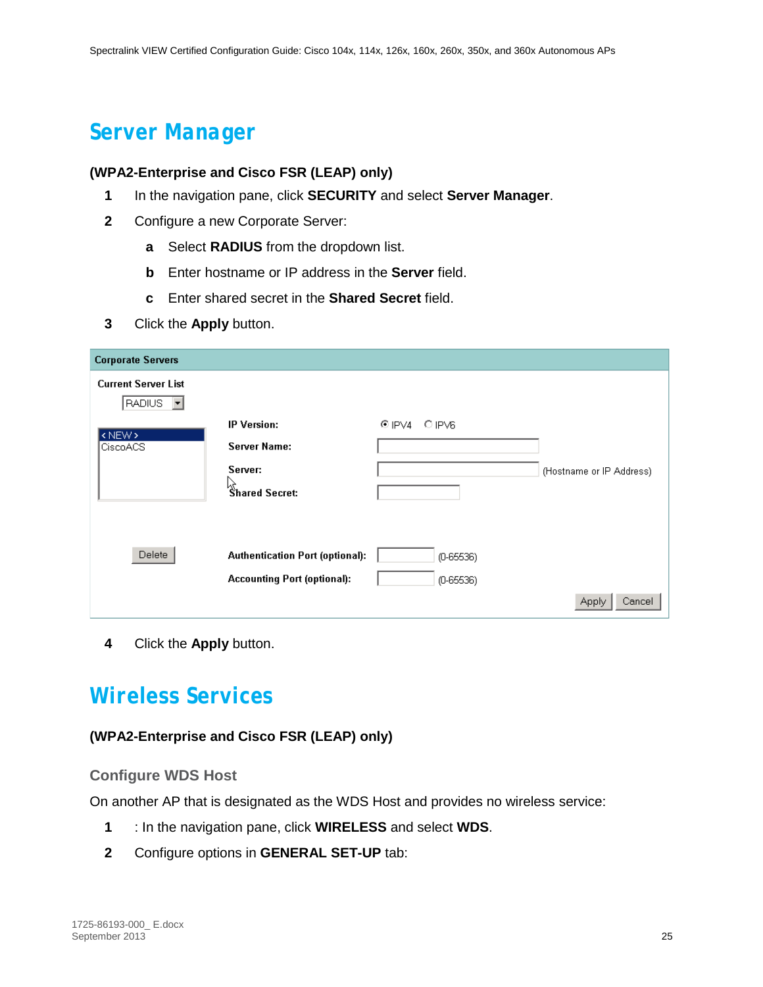### <span id="page-24-0"></span>*Server Manager*

#### **(WPA2-Enterprise and Cisco FSR (LEAP) only)**

- **1** In the navigation pane, click **SECURITY** and select **Server Manager**.
- **2** Configure a new Corporate Server:
	- **a** Select **RADIUS** from the dropdown list.
	- **b** Enter hostname or IP address in the **Server** field.
	- **c** Enter shared secret in the **Shared Secret** field.
- **3** Click the **Apply** button.

| <b>Corporate Servers</b>             |                                        |             |                          |
|--------------------------------------|----------------------------------------|-------------|--------------------------|
| <b>Current Server List</b><br>RADIUS |                                        |             |                          |
| <new></new>                          | <b>IP Version:</b>                     | CIPV4 OIPV6 |                          |
| CiscoACS                             | Server Name:                           |             |                          |
|                                      | Server:                                |             | (Hostname or IP Address) |
|                                      | र्।<br>Shared Secret:                  |             |                          |
|                                      |                                        |             |                          |
|                                      |                                        |             |                          |
| Delete                               | <b>Authentication Port (optional):</b> | $(D-65536)$ |                          |
|                                      | <b>Accounting Port (optional):</b>     | $(D-65536)$ |                          |
|                                      |                                        |             | Cancel<br><b>Apply</b>   |

<span id="page-24-1"></span>**4** Click the **Apply** button.

### *Wireless Services*

#### <span id="page-24-2"></span>**(WPA2-Enterprise and Cisco FSR (LEAP) only)**

#### **Configure WDS Host**

On another AP that is designated as the WDS Host and provides no wireless service:

- **1** : In the navigation pane, click **WIRELESS** and select **WDS**.
- **2** Configure options in **GENERAL SET-UP** tab: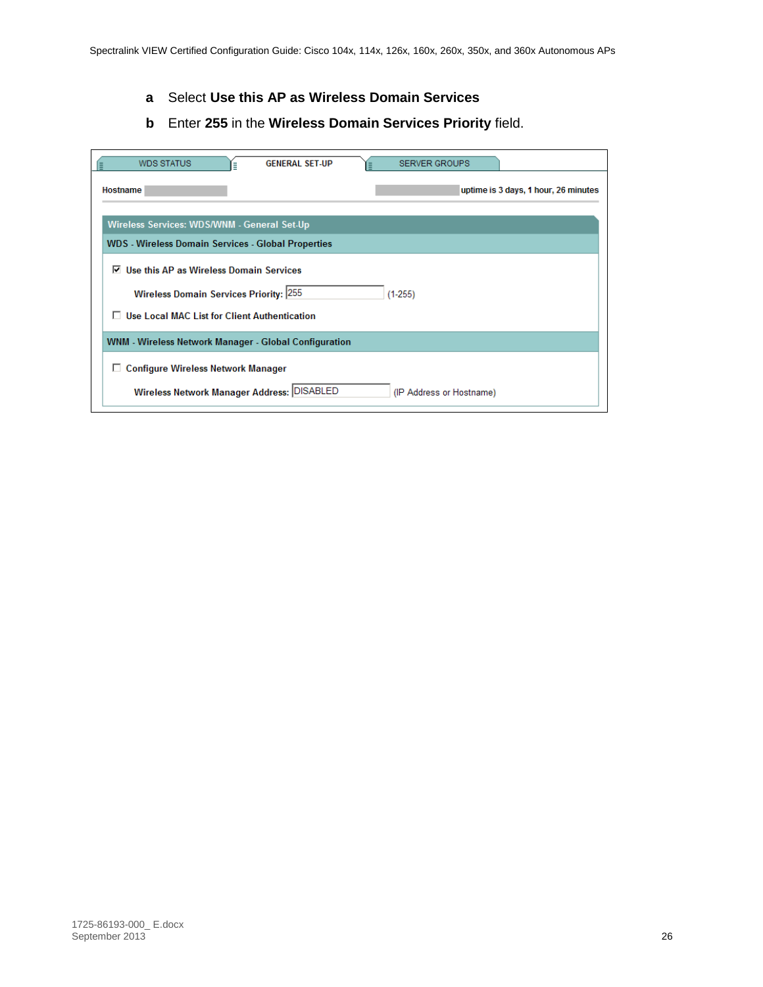- **a** Select **Use this AP as Wireless Domain Services**
- **b** Enter **255** in the **Wireless Domain Services Priority** field.

| <b>WDS STATUS</b><br><b>GENERAL SET-UP</b><br>Ξ              | <b>SERVER GROUPS</b>                 |
|--------------------------------------------------------------|--------------------------------------|
| Hostname                                                     | uptime is 3 days, 1 hour, 26 minutes |
| Wireless Services: WDS/WNM - General Set-Up                  |                                      |
| <b>WDS</b> - Wireless Domain Services - Global Properties    |                                      |
| Use this AP as Wireless Domain Services<br>⊽                 |                                      |
| <b>Wireless Domain Services Priority: 255</b>                | $(1-255)$                            |
| <b>Use Local MAC List for Client Authentication</b>          |                                      |
| <b>WNM - Wireless Network Manager - Global Configuration</b> |                                      |
| <b>Configure Wireless Network Manager</b><br>ப               |                                      |
| Wireless Network Manager Address: DISABLED                   | (IP Address or Hostname)             |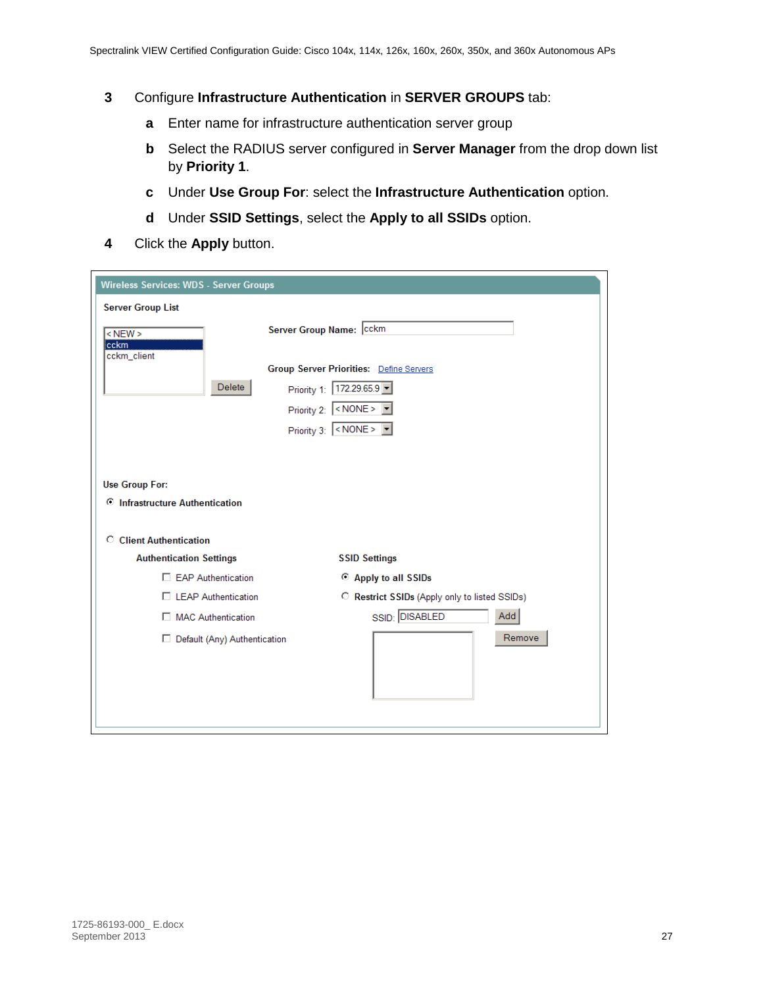- **3** Configure **Infrastructure Authentication** in **SERVER GROUPS** tab:
	- **a** Enter name for infrastructure authentication server group
	- **b** Select the RADIUS server configured in **Server Manager** from the drop down list by **Priority 1**.
	- **c** Under **Use Group For**: select the **Infrastructure Authentication** option.
	- **d** Under **SSID Settings**, select the **Apply to all SSIDs** option.
- **4** Click the **Apply** button.

| <b>Wireless Services: WDS - Server Groups</b> |                                                |
|-----------------------------------------------|------------------------------------------------|
| <b>Server Group List</b>                      |                                                |
| $<$ NEW $>$<br>cckm                           | Server Group Name: cckm                        |
| cckm client                                   | <b>Group Server Priorities: Define Servers</b> |
| Delete                                        | Priority 1: 172.29.65.9                        |
|                                               | Priority 2: < NONE>                            |
|                                               | Priority 3: <none></none>                      |
|                                               |                                                |
| <b>Use Group For:</b>                         |                                                |
| <b>C</b> Infrastructure Authentication        |                                                |
|                                               |                                                |
| C Client Authentication                       |                                                |
| <b>Authentication Settings</b>                | <b>SSID Settings</b>                           |
| <b>EAP Authentication</b>                     | Apply to all SSIDs                             |
| □ LEAP Authentication                         | C Restrict SSIDs (Apply only to listed SSIDs)  |
| MAC Authentication                            | SSID: DISABLED<br>Add                          |
| □ Default (Any) Authentication                | Remove                                         |
|                                               |                                                |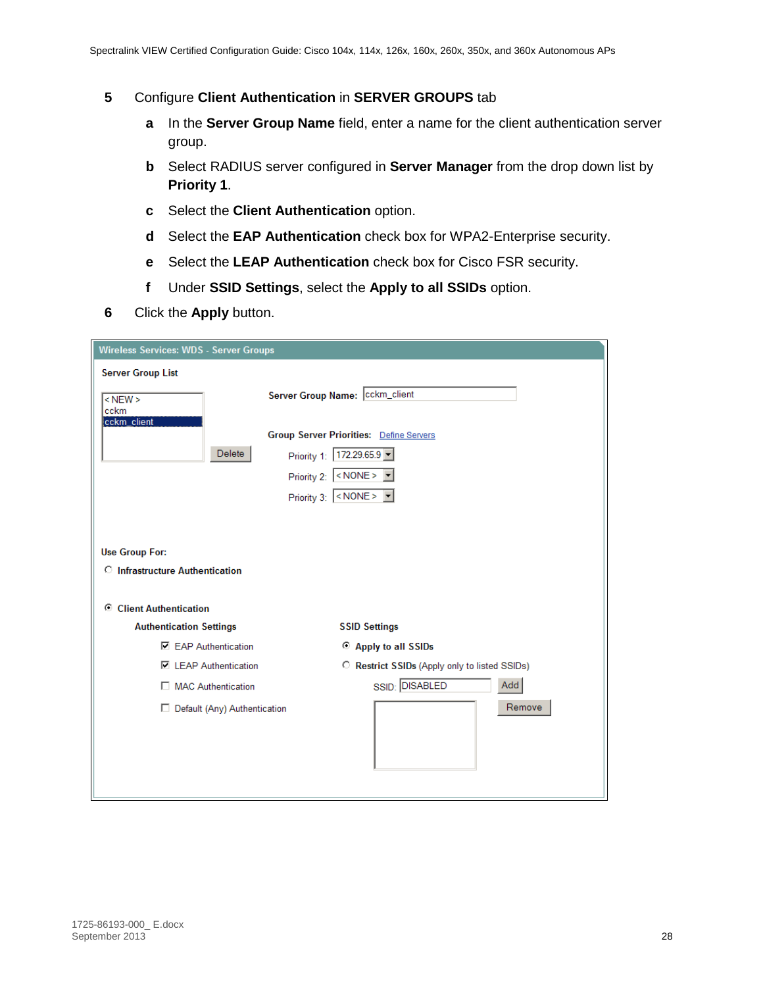- **5** Configure **Client Authentication** in **SERVER GROUPS** tab
	- **a** In the **Server Group Name** field, enter a name for the client authentication server group.
	- **b** Select RADIUS server configured in **Server Manager** from the drop down list by **Priority 1**.
	- **c** Select the **Client Authentication** option.
	- **d** Select the **EAP Authentication** check box for WPA2-Enterprise security.
	- **e** Select the **LEAP Authentication** check box for Cisco FSR security.
	- **f** Under **SSID Settings**, select the **Apply to all SSIDs** option.
- **6** Click the **Apply** button.

| <b>Wireless Services: WDS - Server Groups</b> |                                                  |
|-----------------------------------------------|--------------------------------------------------|
| <b>Server Group List</b>                      |                                                  |
| $<$ NEW $>$<br>cckm<br>cckm_client            | Server Group Name: Cckm_client                   |
|                                               | <b>Group Server Priorities: Define Servers</b>   |
| Delete                                        | Priority 1:   172.29.65.9                        |
|                                               | Priority 2: $\vert$ < NONE > $\vert \cdot \vert$ |
|                                               | Priority 3: <none></none>                        |
|                                               |                                                  |
|                                               |                                                  |
| <b>Use Group For:</b>                         |                                                  |
| <b>C</b> Infrastructure Authentication        |                                                  |
|                                               |                                                  |
| C Client Authentication                       |                                                  |
| <b>Authentication Settings</b>                | <b>SSID Settings</b>                             |
| <b>□ EAP Authentication</b>                   | C Apply to all SSIDs                             |
| <b>□ LEAP Authentication</b>                  | C Restrict SSIDs (Apply only to listed SSIDs)    |
| MAC Authentication                            | SSID: DISABLED<br>Add                            |
| Default (Any) Authentication                  | Remove                                           |
|                                               |                                                  |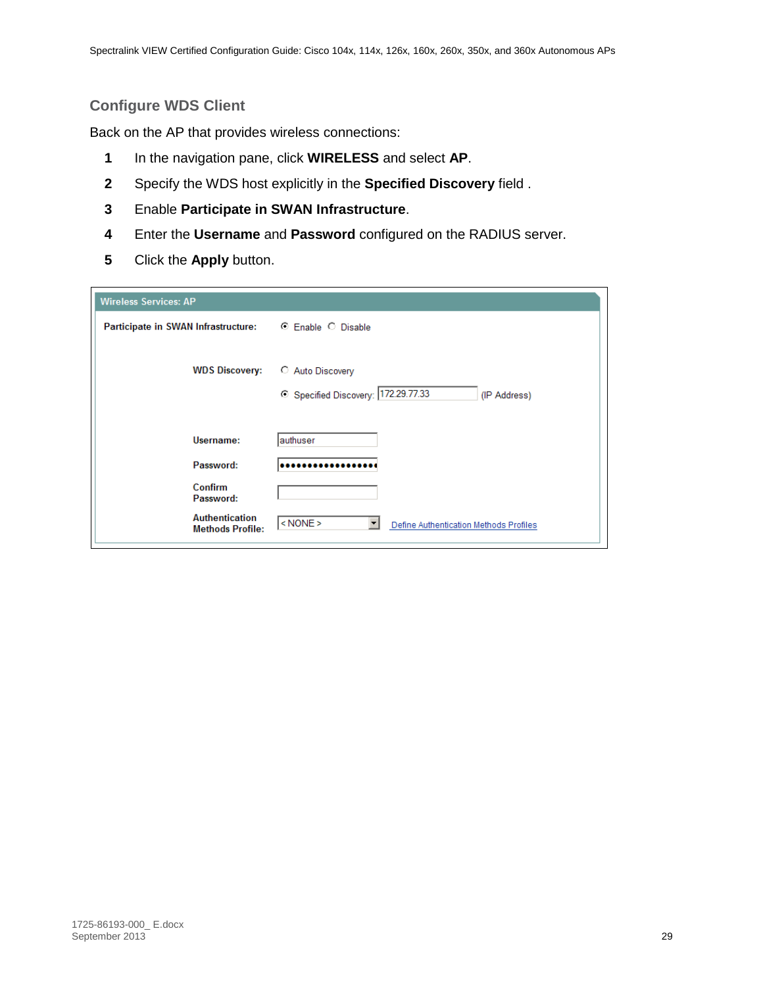#### <span id="page-28-0"></span>**Configure WDS Client**

Back on the AP that provides wireless connections:

- **1** In the navigation pane, click **WIRELESS** and select **AP**.
- **2** Specify the WDS host explicitly in the **Specified Discovery** field .
- **3** Enable **Participate in SWAN Infrastructure**.
- **4** Enter the **Username** and **Password** configured on the RADIUS server.
- **5** Click the **Apply** button.

| <b>Wireless Services: AP</b>                     |                                                                       |
|--------------------------------------------------|-----------------------------------------------------------------------|
| Participate in SWAN Infrastructure:              | ⊙ Enable ○ Disable                                                    |
| <b>WDS Discovery:</b>                            | C Auto Discovery<br>Specified Discovery: 172.29.77.33<br>(IP Address) |
| Username:                                        | lauthuser                                                             |
| Password:                                        |                                                                       |
| Confirm<br>Password:                             |                                                                       |
| <b>Authentication</b><br><b>Methods Profile:</b> | $ $ < NONE ><br>▼<br>Define Authentication Methods Profiles           |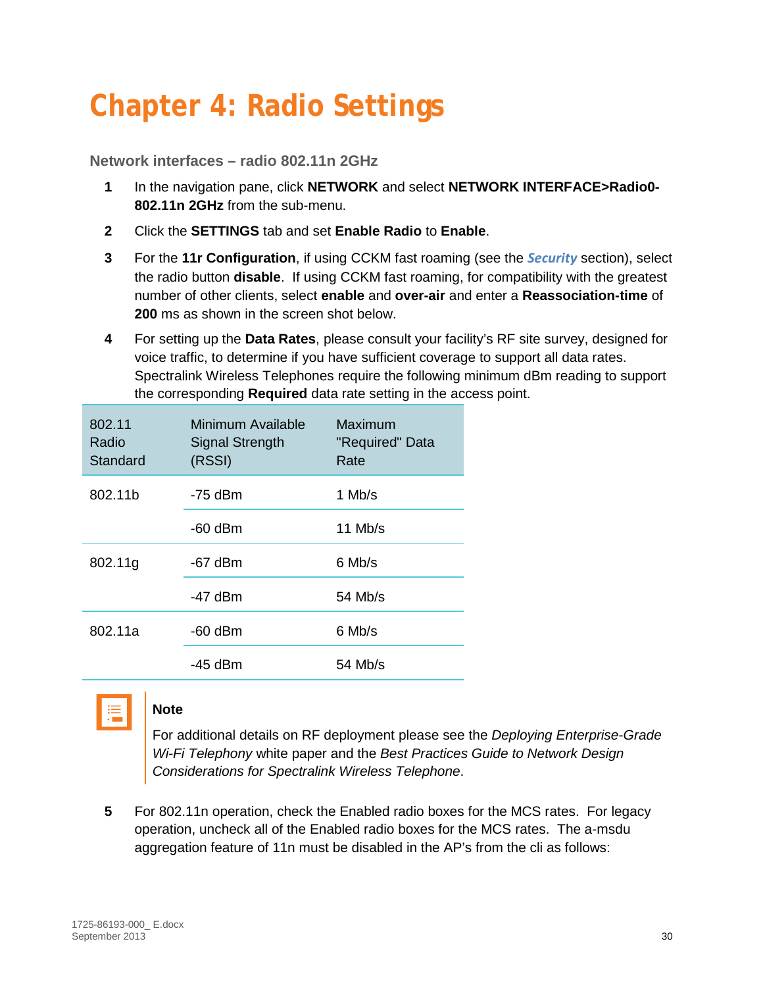# <span id="page-29-0"></span>**Chapter 4: Radio Settings**

<span id="page-29-1"></span>**Network interfaces – radio 802.11n 2GHz**

- **1** In the navigation pane, click **NETWORK** and select **NETWORK INTERFACE>Radio0- 802.11n 2GHz** from the sub-menu.
- **2** Click the **SETTINGS** tab and set **Enable Radio** to **Enable**.
- **3** For the **11r Configuration**, if using CCKM fast roaming (see the *[Security](#page-17-0)* section), select the radio button **disable**. If using CCKM fast roaming, for compatibility with the greatest number of other clients, select **enable** and **over-air** and enter a **Reassociation-time** of **200** ms as shown in the screen shot below.
- **4** For setting up the **Data Rates**, please consult your facility's RF site survey, designed for voice traffic, to determine if you have sufficient coverage to support all data rates. Spectralink Wireless Telephones require the following minimum dBm reading to support the corresponding **Required** data rate setting in the access point.

| 802.11<br>Radio<br>Standard | Minimum Available<br><b>Signal Strength</b><br>(RSSI) | Maximum<br>"Required" Data<br>Rate |  |  |  |  |
|-----------------------------|-------------------------------------------------------|------------------------------------|--|--|--|--|
| 802.11b                     | -75 dBm                                               | 1 Mb/s                             |  |  |  |  |
|                             | $-60$ dBm                                             | 11 Mb/s                            |  |  |  |  |
| 802.11g                     | $-67$ dBm                                             | 6 Mb/s                             |  |  |  |  |
|                             | $-47$ dBm                                             | 54 Mb/s                            |  |  |  |  |
| 802.11a                     | $-60$ dBm                                             | 6 Mb/s                             |  |  |  |  |
|                             | -45 dBm                                               | 54 Mb/s                            |  |  |  |  |



#### **Note**

For additional details on RF deployment please see the *Deploying Enterprise-Grade Wi-Fi Telephony* white paper and the *Best Practices Guide to Network Design Considerations for Spectralink Wireless Telephone*.

**5** For 802.11n operation, check the Enabled radio boxes for the MCS rates. For legacy operation, uncheck all of the Enabled radio boxes for the MCS rates. The a-msdu aggregation feature of 11n must be disabled in the AP's from the cli as follows: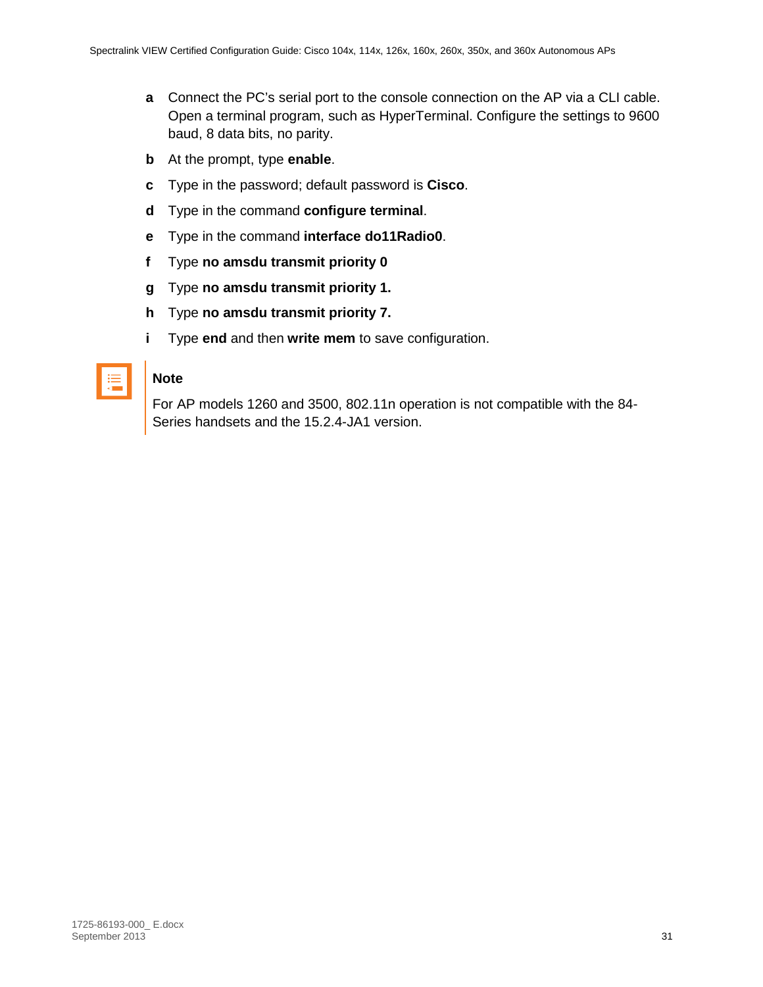- **a** Connect the PC's serial port to the console connection on the AP via a CLI cable. Open a terminal program, such as HyperTerminal. Configure the settings to 9600 baud, 8 data bits, no parity.
- **b** At the prompt, type **enable**.
- **c** Type in the password; default password is **Cisco**.
- **d** Type in the command **configure terminal**.
- **e** Type in the command **interface do11Radio0**.
- **f** Type **no amsdu transmit priority 0**
- **g** Type **no amsdu transmit priority 1.**
- **h** Type **no amsdu transmit priority 7.**
- **i** Type **end** and then **write mem** to save configuration.

#### **Note**

For AP models 1260 and 3500, 802.11n operation is not compatible with the 84- Series handsets and the 15.2.4-JA1 version.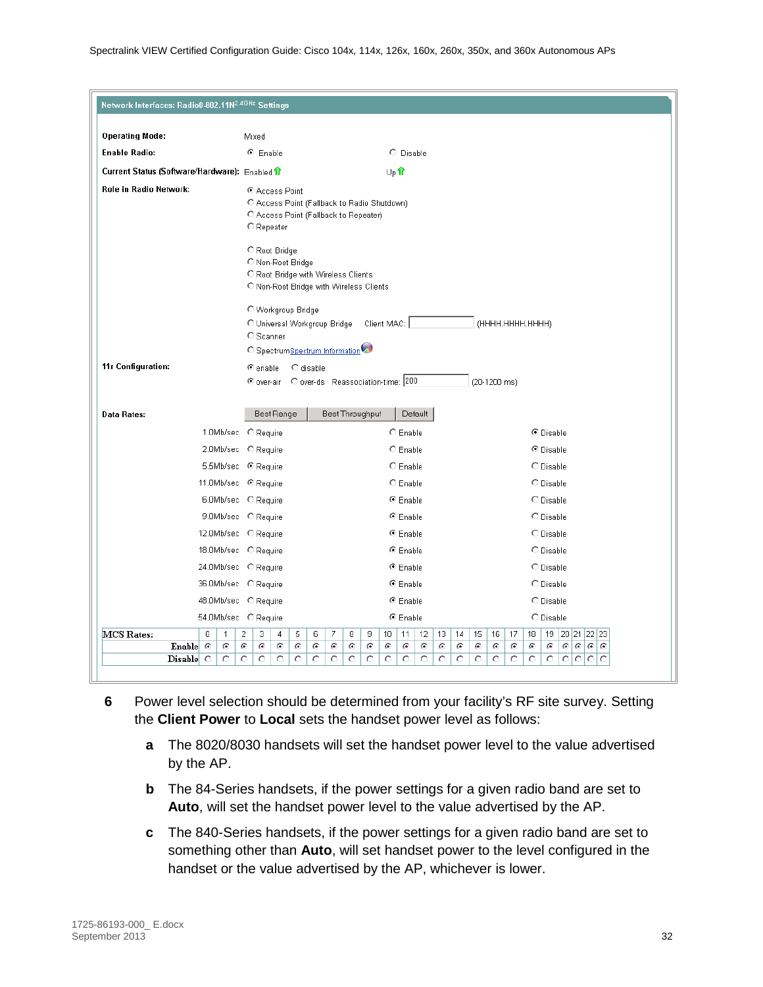| Network Interfaces: Radio0-802.11N <sup>2.4GHz</sup> Settings  |                                                                                                                      |                                                                                 |                                                                                                                  |  |  |  |  |
|----------------------------------------------------------------|----------------------------------------------------------------------------------------------------------------------|---------------------------------------------------------------------------------|------------------------------------------------------------------------------------------------------------------|--|--|--|--|
|                                                                |                                                                                                                      |                                                                                 |                                                                                                                  |  |  |  |  |
| <b>Operating Mode:</b><br><b>Enable Radio:</b>                 | Mixed<br>C Enable                                                                                                    | C Disable                                                                       |                                                                                                                  |  |  |  |  |
|                                                                |                                                                                                                      |                                                                                 |                                                                                                                  |  |  |  |  |
| Current Status (Software/Hardware): Enabled                    |                                                                                                                      | Up <sup>1</sup>                                                                 |                                                                                                                  |  |  |  |  |
| Role in Radio Network:                                         | C Access Point<br>C Access Point (Fallback to Radio Shutdown)<br>C Access Point (Fallback to Repeater)<br>C Repeater |                                                                                 |                                                                                                                  |  |  |  |  |
|                                                                | C Root Bridge<br>C Non-Root Bridge<br>C Root Bridge with Wireless Clients<br>C Non-Root Bridge with Wireless Clients |                                                                                 |                                                                                                                  |  |  |  |  |
|                                                                | O Workgroup Bridge<br>O Universal Workgroup Bridge                                                                   | Client MAC:                                                                     | (HHHH.HHHH.HHHH)                                                                                                 |  |  |  |  |
|                                                                | C Scanner<br>C SpectrumSpectrum Information                                                                          |                                                                                 |                                                                                                                  |  |  |  |  |
| 11r Configuration:                                             | $\bullet$ enable<br>C disable                                                                                        |                                                                                 |                                                                                                                  |  |  |  |  |
|                                                                | © over-air C over-ds Reassociation-time: 200                                                                         |                                                                                 | (20-1200 ms)                                                                                                     |  |  |  |  |
|                                                                |                                                                                                                      |                                                                                 |                                                                                                                  |  |  |  |  |
| <b>Data Rates:</b>                                             | <b>Best Range</b>                                                                                                    | <b>Best Throughput</b><br>Default                                               |                                                                                                                  |  |  |  |  |
|                                                                | 1.0Mb/sec C Require                                                                                                  | $C$ Enable                                                                      | <sup>⊙</sup> Disable                                                                                             |  |  |  |  |
|                                                                | 2.0Mb/sec C Require                                                                                                  | C Enable                                                                        | C Disable                                                                                                        |  |  |  |  |
|                                                                | 5.5Mb/sec © Require                                                                                                  | C Enable                                                                        | C Disable                                                                                                        |  |  |  |  |
| 11.0Mb/sec <sup>@</sup> Require                                |                                                                                                                      | C Enable                                                                        | O Disable                                                                                                        |  |  |  |  |
|                                                                | 6.0Mb/sec C Require                                                                                                  | ⊕ Enable                                                                        | O Disable                                                                                                        |  |  |  |  |
|                                                                | 9.0Mb/sec C Require                                                                                                  | ⊕ Enable                                                                        | O Disable                                                                                                        |  |  |  |  |
| 12.0Mb/sec C Require                                           |                                                                                                                      | ⊕ Enable                                                                        | O Disable                                                                                                        |  |  |  |  |
| 18.0Mb/sec C Require                                           |                                                                                                                      | <sup>6</sup> Enable                                                             | O Disable                                                                                                        |  |  |  |  |
| 24.0Mb/sec C Require                                           |                                                                                                                      | ⊕ Enable                                                                        | O Disable                                                                                                        |  |  |  |  |
| 36.0Mb/sec C Require                                           |                                                                                                                      | ⊕ Enable                                                                        | C Disable                                                                                                        |  |  |  |  |
| 48.0Mb/sec C Require                                           |                                                                                                                      | ⊕ Enable                                                                        | C Disable                                                                                                        |  |  |  |  |
| 54.0Mb/sec C Require                                           |                                                                                                                      | ⊕ Enable                                                                        | C Disable                                                                                                        |  |  |  |  |
| MCS Rates:<br>$\Omega$<br>$\mathbf{1}$<br>Enable $\odot$<br>O. | 2<br>7<br>3<br>5<br>6<br>4<br>⊙<br>⊙<br>⊙<br>۰<br>⊙<br>⊙                                                             | 8<br>12 <sup>2</sup><br>$13-1$<br>9<br>10 I<br>11<br>€<br>⊙<br>⊙<br>⊙<br>⊙<br>⊙ | 15<br>18<br>19<br>20 21 22 23<br>14<br>16<br>17<br>$\odot$<br>$\circ$ $\circ$<br>⊙<br>⊙<br>⊙<br>⊙<br>⊙<br>⊙<br>⊙ |  |  |  |  |
| $Disable$ $\circ$<br>O                                         | $\circ$<br>$\circ$<br>O<br>$\circ$<br>O.<br>O                                                                        | $\circ$<br>$\circ$<br>$\circ$<br>$\circ$<br>$\circ$<br>O                        | $\circ$<br>O<br>$\circ$<br>$\circ$<br>O<br>O<br>O<br>$\circ$<br>$\circ$<br>Ω                                     |  |  |  |  |
|                                                                |                                                                                                                      |                                                                                 |                                                                                                                  |  |  |  |  |

- **6** Power level selection should be determined from your facility's RF site survey. Setting the **Client Power** to **Local** sets the handset power level as follows:
	- **a** The 8020/8030 handsets will set the handset power level to the value advertised by the AP.
	- **b** The 84-Series handsets, if the power settings for a given radio band are set to **Auto**, will set the handset power level to the value advertised by the AP.
	- **c** The 840-Series handsets, if the power settings for a given radio band are set to something other than **Auto**, will set handset power to the level configured in the handset or the value advertised by the AP, whichever is lower.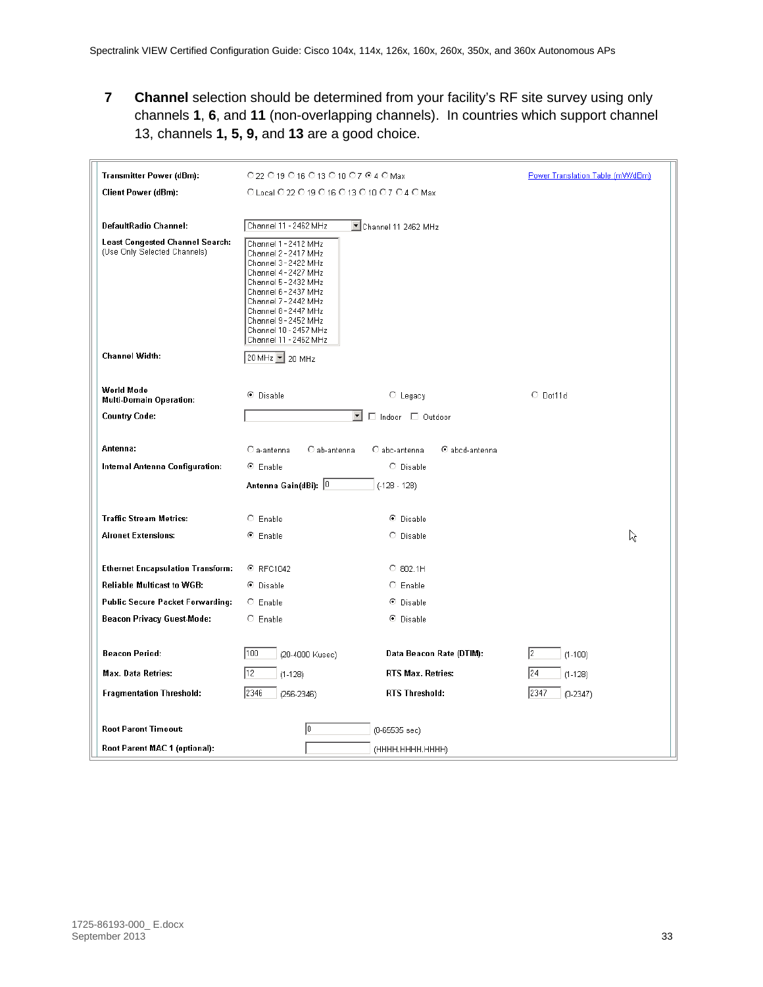**7 Channel** selection should be determined from your facility's RF site survey using only channels **1**, **6**, and **11** (non-overlapping channels). In countries which support channel 13, channels **1, 5, 9,** and **13** are a good choice.

| <b>Transmitter Power (dBm):</b>                                        | ○22 ○19 ○16 ○13 ○10 ○7 ◎4 ○ Max                                                                                                                                                                                                                                        | Power Translation Table (mW/dBm)   |                    |   |
|------------------------------------------------------------------------|------------------------------------------------------------------------------------------------------------------------------------------------------------------------------------------------------------------------------------------------------------------------|------------------------------------|--------------------|---|
| <b>Client Power (dBm):</b>                                             | O Local O 22 O 19 O 16 O 13 O 10 O 7 O 4 O Max                                                                                                                                                                                                                         |                                    |                    |   |
|                                                                        |                                                                                                                                                                                                                                                                        |                                    |                    |   |
| DefaultRadio Channel:                                                  | Channel 11 - 2462 MHz                                                                                                                                                                                                                                                  | Channel 11 2462 MHz                |                    |   |
| <b>Least Congested Channel Search:</b><br>(Use Only Selected Channels) | Channel 1 - 2412 MHz<br>Channel 2 - 2417 MHz<br>Channel 3 - 2422 MHz<br>Channel 4 - 2427 MHz<br>Channel 5 - 2432 MHz<br>Channel 6 - 2437 MHz<br>Channel 7 - 2442 MHz<br>Channel 8 - 2447 MHz<br>Channel 9 - 2452 MHz<br>Channel 10 - 2457 MHz<br>Channel 11 - 2462 MHz |                                    |                    |   |
| <b>Channel Width:</b>                                                  | 20 MHz 1 20 MHz                                                                                                                                                                                                                                                        |                                    |                    |   |
| <b>World Mode</b><br><b>Multi-Domain Operation:</b>                    | <sup>⊙</sup> Disable                                                                                                                                                                                                                                                   | $\circ$ Legacy                     | $O$ Dot11d         |   |
| <b>Country Code:</b>                                                   |                                                                                                                                                                                                                                                                        | $\mathbf{r}$<br>□ Indoor □ Outdoor |                    |   |
| Antenna:                                                               | $\bigcirc$ a-antenna<br>C ab-antenna                                                                                                                                                                                                                                   | C abc-antenna<br>C abcd-antenna    |                    |   |
| <b>Internal Antenna Configuration:</b>                                 | <sup>⊙</sup> Enable                                                                                                                                                                                                                                                    | C Disable                          |                    |   |
|                                                                        | Antenna Gain(dBi): 0                                                                                                                                                                                                                                                   | $(-128 - 128)$                     |                    |   |
| <b>Traffic Stream Metrics:</b>                                         | $C$ Enable                                                                                                                                                                                                                                                             | C Disable                          |                    |   |
| <b>Aironet Extensions:</b>                                             | ⊕ Enable                                                                                                                                                                                                                                                               | C Disable                          |                    | な |
| <b>Ethernet Encapsulation Transform:</b>                               | © RFC1042                                                                                                                                                                                                                                                              | $O$ 802.1H                         |                    |   |
| <b>Reliable Multicast to WGB:</b>                                      | C Disable                                                                                                                                                                                                                                                              | $C$ Enable                         |                    |   |
| <b>Public Secure Packet Forwarding:</b>                                | $\circ$ Enable                                                                                                                                                                                                                                                         | C Disable                          |                    |   |
| <b>Beacon Privacy Guest-Mode:</b>                                      | $C$ Enable                                                                                                                                                                                                                                                             | C Disable                          |                    |   |
|                                                                        |                                                                                                                                                                                                                                                                        |                                    |                    |   |
| <b>Beacon Period:</b>                                                  | 100<br>(20-4000 Kusec)                                                                                                                                                                                                                                                 | Data Beacon Rate (DTIM):           | 12<br>$(1-100)$    |   |
| Max. Data Retries:                                                     | 12<br>$(1-128)$                                                                                                                                                                                                                                                        | RTS Max. Retries:                  | 24<br>$(1-128)$    |   |
| <b>Fragmentation Threshold:</b>                                        | 2346<br>$(256 - 2346)$                                                                                                                                                                                                                                                 | <b>RTS Threshold:</b>              | 2347<br>$(0-2347)$ |   |
|                                                                        |                                                                                                                                                                                                                                                                        |                                    |                    |   |
| <b>Root Parent Timeout:</b>                                            | Io.                                                                                                                                                                                                                                                                    | (0-65535 sec)                      |                    |   |
| Root Parent MAC 1 (optional):                                          |                                                                                                                                                                                                                                                                        | (НННН. НННН. НННН)                 |                    |   |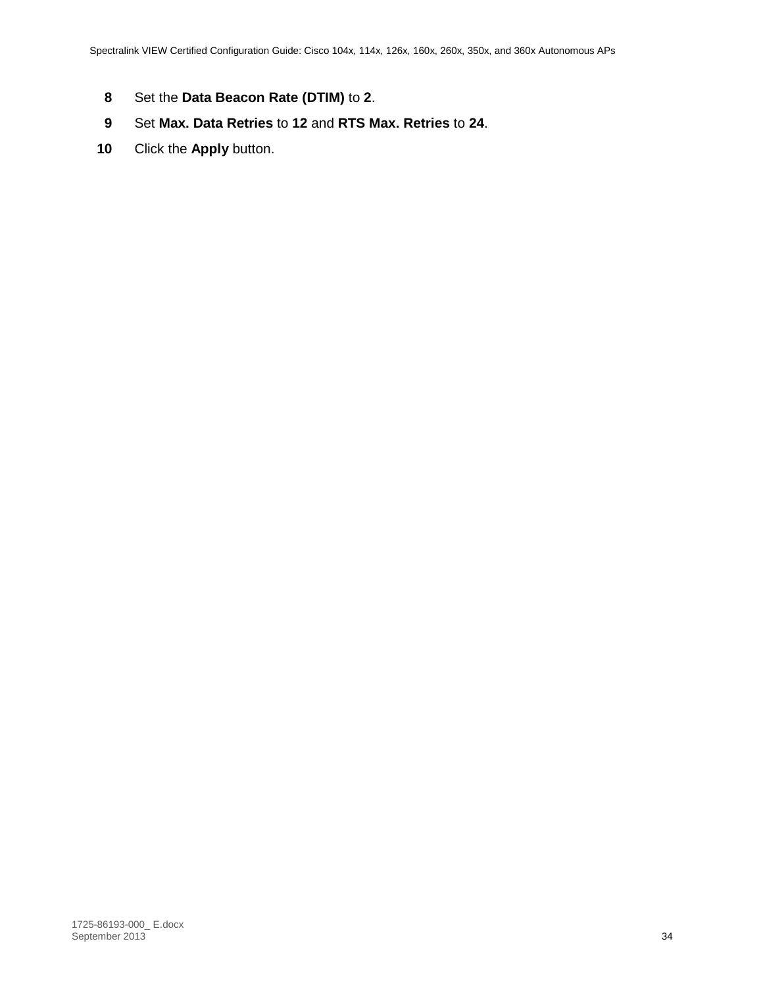- **8** Set the **Data Beacon Rate (DTIM)** to **2**.
- **9** Set **Max. Data Retries** to **12** and **RTS Max. Retries** to **24**.
- **10** Click the **Apply** button.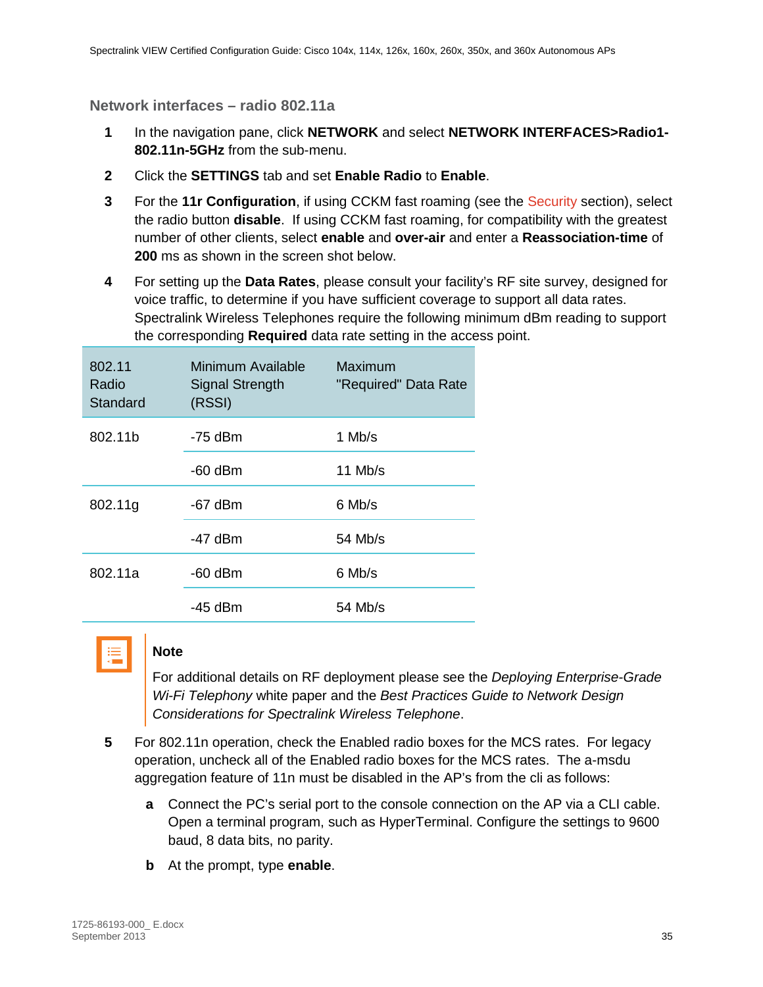<span id="page-34-0"></span>**Network interfaces – radio 802.11a**

- **1** In the navigation pane, click **NETWORK** and select **NETWORK INTERFACES>Radio1- 802.11n-5GHz** from the sub-menu.
- **2** Click the **SETTINGS** tab and set **Enable Radio** to **Enable**.
- **3** For the **11r Configuration**, if using CCKM fast roaming (see the [Security](#page-17-0) section), select the radio button **disable**. If using CCKM fast roaming, for compatibility with the greatest number of other clients, select **enable** and **over-air** and enter a **Reassociation-time** of **200** ms as shown in the screen shot below.
- **4** For setting up the **Data Rates**, please consult your facility's RF site survey, designed for voice traffic, to determine if you have sufficient coverage to support all data rates. Spectralink Wireless Telephones require the following minimum dBm reading to support the corresponding **Required** data rate setting in the access point.

| 802.11<br>Radio<br>Standard | Minimum Available<br><b>Signal Strength</b><br>(RSSI) | <b>Maximum</b><br>"Required" Data Rate |  |  |  |
|-----------------------------|-------------------------------------------------------|----------------------------------------|--|--|--|
| 802.11b                     | $-75$ dBm                                             | 1 Mb/s                                 |  |  |  |
|                             | $-60$ dBm                                             | $11$ Mb/s                              |  |  |  |
| 802.11g                     | $-67$ dBm                                             | 6 Mb/s                                 |  |  |  |
|                             | $-47$ dBm                                             | 54 Mb/s                                |  |  |  |
| 802.11a                     | $-60$ dBm                                             | 6 Mb/s                                 |  |  |  |
|                             | $-45$ dBm                                             | 54 Mb/s                                |  |  |  |



#### **Note**

For additional details on RF deployment please see the *Deploying Enterprise-Grade Wi-Fi Telephony* white paper and the *Best Practices Guide to Network Design Considerations for Spectralink Wireless Telephone*.

- **5** For 802.11n operation, check the Enabled radio boxes for the MCS rates. For legacy operation, uncheck all of the Enabled radio boxes for the MCS rates. The a-msdu aggregation feature of 11n must be disabled in the AP's from the cli as follows:
	- **a** Connect the PC's serial port to the console connection on the AP via a CLI cable. Open a terminal program, such as HyperTerminal. Configure the settings to 9600 baud, 8 data bits, no parity.
	- **b** At the prompt, type **enable**.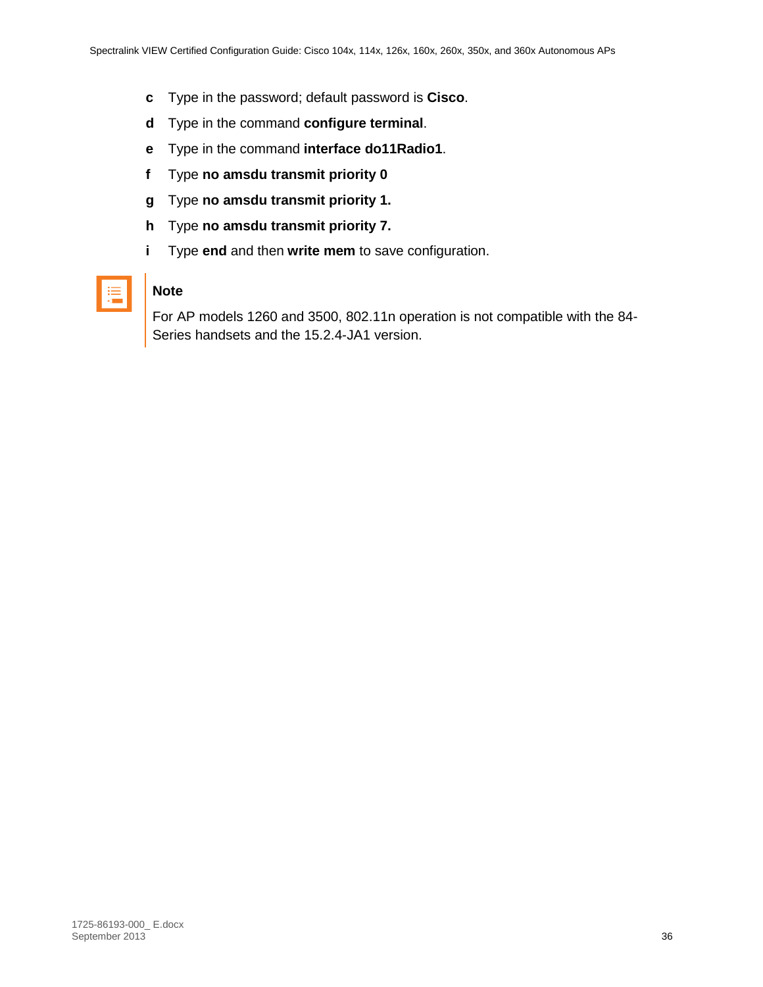- **c** Type in the password; default password is **Cisco**.
- **d** Type in the command **configure terminal**.
- **e** Type in the command **interface do11Radio1**.
- **f** Type **no amsdu transmit priority 0**
- **g** Type **no amsdu transmit priority 1.**
- **h** Type **no amsdu transmit priority 7.**
- **i** Type **end** and then **write mem** to save configuration.

| <b>STATE</b> |  |
|--------------|--|
|              |  |

#### **Note**

For AP models 1260 and 3500, 802.11n operation is not compatible with the 84- Series handsets and the 15.2.4-JA1 version.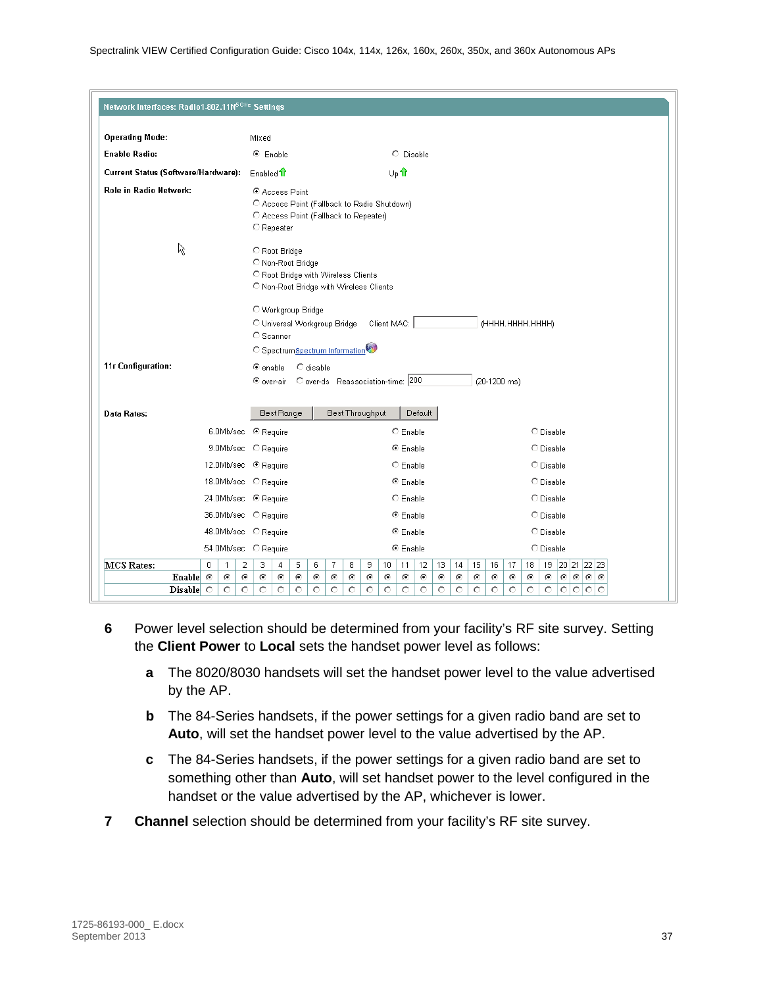| Network Interfaces: Radio1-802.11N <sup>5GHz</sup> Settings |                                                          |              |                |                                                                                                                                                                                                                            |                                 |                                |         |   |                 |                       |  |            |         |         |         |            |              |                                          |               |  |  |
|-------------------------------------------------------------|----------------------------------------------------------|--------------|----------------|----------------------------------------------------------------------------------------------------------------------------------------------------------------------------------------------------------------------------|---------------------------------|--------------------------------|---------|---|-----------------|-----------------------|--|------------|---------|---------|---------|------------|--------------|------------------------------------------|---------------|--|--|
| <b>Operating Mode:</b>                                      |                                                          |              |                | Mixed                                                                                                                                                                                                                      |                                 |                                |         |   |                 |                       |  |            |         |         |         |            |              |                                          |               |  |  |
| <b>Enable Radio:</b>                                        |                                                          |              |                | C Enable<br>C Disable                                                                                                                                                                                                      |                                 |                                |         |   |                 |                       |  |            |         |         |         |            |              |                                          |               |  |  |
| Current Status (Software/Hardware):                         |                                                          |              |                | Up <sup>1</sup><br>Enabled 1                                                                                                                                                                                               |                                 |                                |         |   |                 |                       |  |            |         |         |         |            |              |                                          |               |  |  |
| Role in Radio Network:                                      |                                                          |              |                | C Access Point<br>C Access Point (Fallback to Radio Shutdown)<br>C Access Point (Fallback to Repeater)<br>C Repeater                                                                                                       |                                 |                                |         |   |                 |                       |  |            |         |         |         |            |              |                                          |               |  |  |
| な                                                           |                                                          |              |                | C Root Bridge<br>O Non-Root Bridge<br>C Root Bridge with Wireless Clients<br>C Non-Root Bridge with Wireless Clients<br>O Workgroup Bridge<br>O Universal Workgroup Bridge<br>Client MAC:<br>(HHHH.HHHH.HHHH)<br>C Scanner |                                 |                                |         |   |                 |                       |  |            |         |         |         |            |              |                                          |               |  |  |
|                                                             |                                                          |              |                |                                                                                                                                                                                                                            |                                 | C SpectrumSpectrum Information |         |   |                 |                       |  |            |         |         |         |            |              |                                          |               |  |  |
| 11r Configuration:                                          |                                                          |              |                | $\bullet$ enable                                                                                                                                                                                                           |                                 | O disable                      |         |   |                 |                       |  |            |         |         |         |            | (20-1200 ms) |                                          |               |  |  |
| Data Rates:                                                 |                                                          |              |                |                                                                                                                                                                                                                            | Best Range                      |                                |         |   | Best Throughput |                       |  | Default    |         |         |         |            |              |                                          |               |  |  |
|                                                             |                                                          |              |                |                                                                                                                                                                                                                            | 6.0Mb/sec · © Require           |                                |         |   |                 | C Enable              |  |            |         |         |         |            |              | C Disable                                |               |  |  |
|                                                             |                                                          |              |                |                                                                                                                                                                                                                            | 9.0Mb/sec C Require             |                                |         |   |                 | ⊕ Enable              |  |            |         |         |         |            |              | C Disable                                |               |  |  |
|                                                             |                                                          |              |                |                                                                                                                                                                                                                            | 12.0Mb/sec <sup>●</sup> Require |                                |         |   |                 | $C$ Enable            |  |            |         |         |         |            |              | C Disable                                |               |  |  |
|                                                             |                                                          |              |                |                                                                                                                                                                                                                            | 18.0Mb/sec C Require            |                                |         |   |                 | <sup>⊙</sup> Enable   |  |            |         |         |         |            |              | O Disable                                |               |  |  |
|                                                             |                                                          |              |                |                                                                                                                                                                                                                            | 24.0Mb/sec · © Require          |                                |         |   |                 | $C$ Enable            |  |            |         |         |         |            |              | O Disable                                |               |  |  |
|                                                             | 36.0Mb/sec C Require<br><sup>⊙</sup> Enable<br>C Disable |              |                |                                                                                                                                                                                                                            |                                 |                                |         |   |                 |                       |  |            |         |         |         |            |              |                                          |               |  |  |
|                                                             |                                                          |              |                |                                                                                                                                                                                                                            | 48.0Mb/sec C Require            |                                |         |   |                 | <sup>⊙</sup> Enable   |  |            |         |         |         |            |              | C Disable                                |               |  |  |
|                                                             |                                                          |              |                |                                                                                                                                                                                                                            | 54.0Mb/sec C Require            |                                |         |   |                 | ⊕ Enable              |  |            |         |         |         |            |              | O Disable                                |               |  |  |
| MCS Rates:                                                  | $\Box$                                                   | $\mathbf{1}$ | $\overline{2}$ | 3.                                                                                                                                                                                                                         | 4                               | 5<br>6                         | 7       | 8 | 9               | 10 <sub>1</sub><br>11 |  | 12         | 13      | 14      | 15      | 16         | 17           | 19 20 21 22 23<br>18                     |               |  |  |
| Enable $\odot$                                              |                                                          | $\odot$      | $\odot$        | O                                                                                                                                                                                                                          | $\odot$                         | o<br>$\epsilon$                | ⊙       | o | $\odot$         | $\odot$<br>o          |  | $\epsilon$ | $\odot$ | $\odot$ | $\odot$ | $\epsilon$ | $\odot$      | $\odot$<br>$\odot$<br>$\odot$<br>$\odot$ | $\odot$<br>€  |  |  |
| Disable $\circ$                                             |                                                          | $\circ$      | O              | O                                                                                                                                                                                                                          | O                               | O<br>O                         | $\circ$ | O | $\circ$         | O<br>O                |  | O          | O       | O       | O       | $\circ$    | O            | O<br>O<br>O.<br>$\circ$                  | lo<br>$\circ$ |  |  |

- **6** Power level selection should be determined from your facility's RF site survey. Setting the **Client Power** to **Local** sets the handset power level as follows:
	- **a** The 8020/8030 handsets will set the handset power level to the value advertised by the AP.
	- **b** The 84-Series handsets, if the power settings for a given radio band are set to **Auto**, will set the handset power level to the value advertised by the AP.
	- **c** The 84-Series handsets, if the power settings for a given radio band are set to something other than **Auto**, will set handset power to the level configured in the handset or the value advertised by the AP, whichever is lower.
- **7 Channel** selection should be determined from your facility's RF site survey.